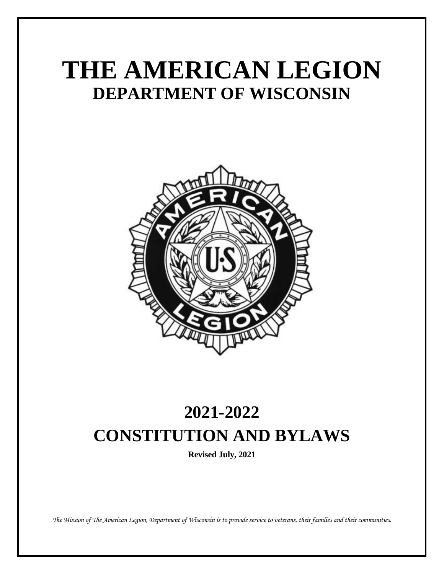# **THE AMERICAN LEGION DEPARTMENT OF WISCONSIN**



# **2021-2022 CONSTITUTION AND BYLAWS**

**Revised July, 2021**

*The Mission of The American Legion, Department of Wisconsin is to provide service to veterans, their families and their communities.*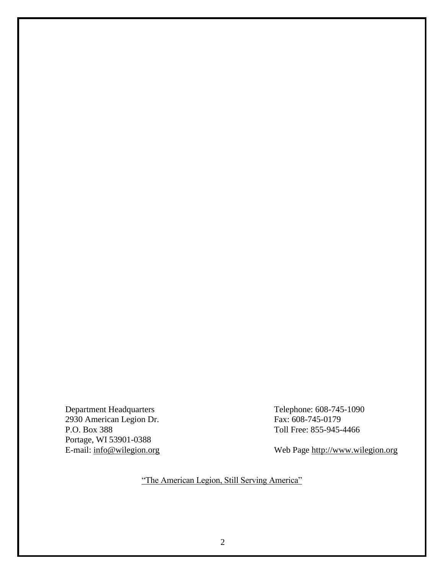2930 American Legion Dr. P.O. Box 388 Toll Free: 855-945-4466 Portage, WI 53901-0388<br>E-mail: info@wilegion.org

Department Headquarters<br>
2930 American Legion Dr.<br>
2930 American Legion Dr.<br>
2930 American Legion Dr.

Web Page [http://www.wilegion.org](http://www.wilegion.org/)

"The American Legion, Still Serving America"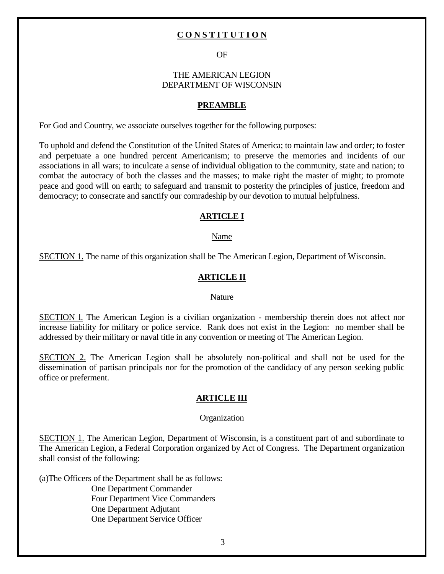## **C O N S T I T U T I O N**

#### OF

#### THE AMERICAN LEGION DEPARTMENT OF WISCONSIN

#### **PREAMBLE**

For God and Country, we associate ourselves together for the following purposes:

To uphold and defend the Constitution of the United States of America; to maintain law and order; to foster and perpetuate a one hundred percent Americanism; to preserve the memories and incidents of our associations in all wars; to inculcate a sense of individual obligation to the community, state and nation; to combat the autocracy of both the classes and the masses; to make right the master of might; to promote peace and good will on earth; to safeguard and transmit to posterity the principles of justice, freedom and democracy; to consecrate and sanctify our comradeship by our devotion to mutual helpfulness.

#### **ARTICLE I**

#### Name

SECTION 1. The name of this organization shall be The American Legion, Department of Wisconsin.

#### **ARTICLE II**

#### Nature

SECTION l. The American Legion is a civilian organization - membership therein does not affect nor increase liability for military or police service. Rank does not exist in the Legion: no member shall be addressed by their military or naval title in any convention or meeting of The American Legion.

SECTION 2. The American Legion shall be absolutely non-political and shall not be used for the dissemination of partisan principals nor for the promotion of the candidacy of any person seeking public office or preferment.

#### **ARTICLE III**

#### **Organization**

SECTION 1. The American Legion, Department of Wisconsin, is a constituent part of and subordinate to The American Legion, a Federal Corporation organized by Act of Congress. The Department organization shall consist of the following:

(a)The Officers of the Department shall be as follows: One Department Commander Four Department Vice Commanders One Department Adjutant One Department Service Officer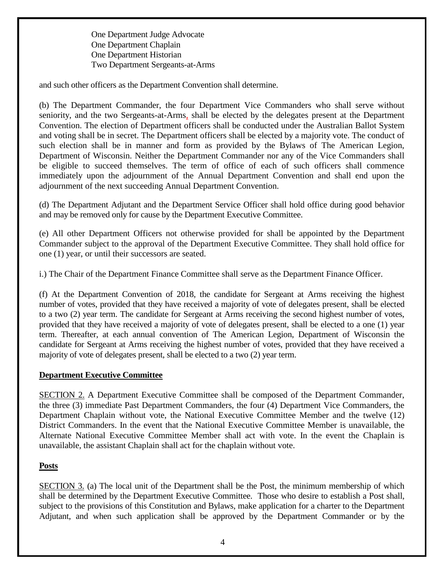One Department Judge Advocate One Department Chaplain One Department Historian Two Department Sergeants-at-Arms

and such other officers as the Department Convention shall determine.

(b) The Department Commander, the four Department Vice Commanders who shall serve without seniority, and the two Sergeants-at-Arms, shall be elected by the delegates present at the Department Convention. The election of Department officers shall be conducted under the Australian Ballot System and voting shall be in secret. The Department officers shall be elected by a majority vote. The conduct of such election shall be in manner and form as provided by the Bylaws of The American Legion, Department of Wisconsin. Neither the Department Commander nor any of the Vice Commanders shall be eligible to succeed themselves. The term of office of each of such officers shall commence immediately upon the adjournment of the Annual Department Convention and shall end upon the adjournment of the next succeeding Annual Department Convention.

(d) The Department Adjutant and the Department Service Officer shall hold office during good behavior and may be removed only for cause by the Department Executive Committee.

(e) All other Department Officers not otherwise provided for shall be appointed by the Department Commander subject to the approval of the Department Executive Committee. They shall hold office for one (1) year, or until their successors are seated.

i.) The Chair of the Department Finance Committee shall serve as the Department Finance Officer.

(f) At the Department Convention of 2018, the candidate for Sergeant at Arms receiving the highest number of votes, provided that they have received a majority of vote of delegates present, shall be elected to a two (2) year term. The candidate for Sergeant at Arms receiving the second highest number of votes, provided that they have received a majority of vote of delegates present, shall be elected to a one (1) year term. Thereafter, at each annual convention of The American Legion, Department of Wisconsin the candidate for Sergeant at Arms receiving the highest number of votes, provided that they have received a majority of vote of delegates present, shall be elected to a two (2) year term.

# **Department Executive Committee**

SECTION 2. A Department Executive Committee shall be composed of the Department Commander, the three (3) immediate Past Department Commanders, the four (4) Department Vice Commanders, the Department Chaplain without vote, the National Executive Committee Member and the twelve (12) District Commanders. In the event that the National Executive Committee Member is unavailable, the Alternate National Executive Committee Member shall act with vote. In the event the Chaplain is unavailable, the assistant Chaplain shall act for the chaplain without vote.

# **Posts**

SECTION 3. (a) The local unit of the Department shall be the Post, the minimum membership of which shall be determined by the Department Executive Committee. Those who desire to establish a Post shall, subject to the provisions of this Constitution and Bylaws, make application for a charter to the Department Adjutant, and when such application shall be approved by the Department Commander or by the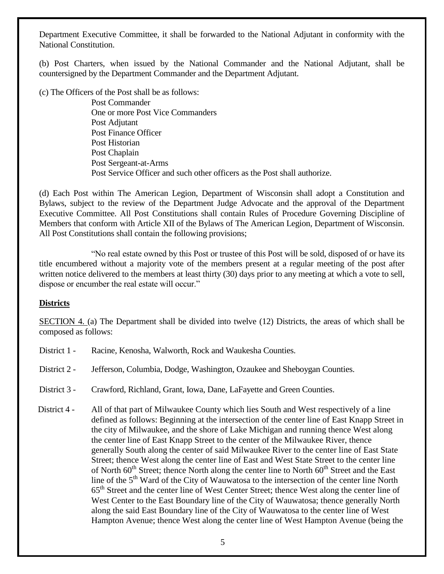Department Executive Committee, it shall be forwarded to the National Adjutant in conformity with the National Constitution.

(b) Post Charters, when issued by the National Commander and the National Adjutant, shall be countersigned by the Department Commander and the Department Adjutant.

(c) The Officers of the Post shall be as follows:

Post Commander One or more Post Vice Commanders Post Adjutant Post Finance Officer Post Historian Post Chaplain Post Sergeant-at-Arms Post Service Officer and such other officers as the Post shall authorize.

(d) Each Post within The American Legion, Department of Wisconsin shall adopt a Constitution and Bylaws, subject to the review of the Department Judge Advocate and the approval of the Department Executive Committee. All Post Constitutions shall contain Rules of Procedure Governing Discipline of Members that conform with Article XII of the Bylaws of The American Legion, Department of Wisconsin. All Post Constitutions shall contain the following provisions;

"No real estate owned by this Post or trustee of this Post will be sold, disposed of or have its title encumbered without a majority vote of the members present at a regular meeting of the post after written notice delivered to the members at least thirty (30) days prior to any meeting at which a vote to sell, dispose or encumber the real estate will occur."

# **Districts**

SECTION 4. (a) The Department shall be divided into twelve (12) Districts, the areas of which shall be composed as follows:

- District 1 Racine, Kenosha, Walworth, Rock and Waukesha Counties.
- District 2 Jefferson, Columbia, Dodge, Washington, Ozaukee and Sheboygan Counties.
- District 3 Crawford, Richland, Grant, Iowa, Dane, LaFayette and Green Counties.

District 4 - All of that part of Milwaukee County which lies South and West respectively of a line defined as follows: Beginning at the intersection of the center line of East Knapp Street in the city of Milwaukee, and the shore of Lake Michigan and running thence West along the center line of East Knapp Street to the center of the Milwaukee River, thence generally South along the center of said Milwaukee River to the center line of East State Street; thence West along the center line of East and West State Street to the center line of North  $60<sup>th</sup>$  Street; thence North along the center line to North  $60<sup>th</sup>$  Street and the East line of the 5<sup>th</sup> Ward of the City of Wauwatosa to the intersection of the center line North 65th Street and the center line of West Center Street; thence West along the center line of West Center to the East Boundary line of the City of Wauwatosa; thence generally North along the said East Boundary line of the City of Wauwatosa to the center line of West Hampton Avenue; thence West along the center line of West Hampton Avenue (being the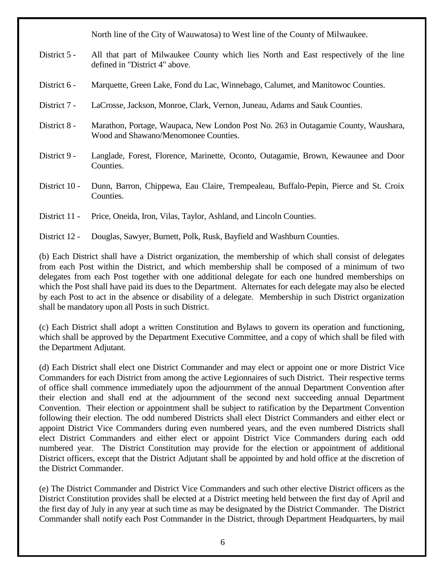North line of the City of Wauwatosa) to West line of the County of Milwaukee.

- District 5 All that part of Milwaukee County which lies North and East respectively of the line defined in "District 4" above.
- District 6 Marquette, Green Lake, Fond du Lac, Winnebago, Calumet, and Manitowoc Counties.
- District 7 LaCrosse, Jackson, Monroe, Clark, Vernon, Juneau, Adams and Sauk Counties.
- District 8 Marathon, Portage, Waupaca, New London Post No. 263 in Outagamie County, Waushara, Wood and Shawano/Menomonee Counties.
- District 9 Langlade, Forest, Florence, Marinette, Oconto, Outagamie, Brown, Kewaunee and Door Counties.
- District 10 Dunn, Barron, Chippewa, Eau Claire, Trempealeau, Buffalo-Pepin, Pierce and St. Croix Counties.
- District 11 Price, Oneida, Iron, Vilas, Taylor, Ashland, and Lincoln Counties.
- District 12 Douglas, Sawyer, Burnett, Polk, Rusk, Bayfield and Washburn Counties.

(b) Each District shall have a District organization, the membership of which shall consist of delegates from each Post within the District, and which membership shall be composed of a minimum of two delegates from each Post together with one additional delegate for each one hundred memberships on which the Post shall have paid its dues to the Department. Alternates for each delegate may also be elected by each Post to act in the absence or disability of a delegate. Membership in such District organization shall be mandatory upon all Posts in such District.

(c) Each District shall adopt a written Constitution and Bylaws to govern its operation and functioning, which shall be approved by the Department Executive Committee, and a copy of which shall be filed with the Department Adjutant.

(d) Each District shall elect one District Commander and may elect or appoint one or more District Vice Commanders for each District from among the active Legionnaires of such District. Their respective terms of office shall commence immediately upon the adjournment of the annual Department Convention after their election and shall end at the adjournment of the second next succeeding annual Department Convention. Their election or appointment shall be subject to ratification by the Department Convention following their election. The odd numbered Districts shall elect District Commanders and either elect or appoint District Vice Commanders during even numbered years, and the even numbered Districts shall elect District Commanders and either elect or appoint District Vice Commanders during each odd numbered year. The District Constitution may provide for the election or appointment of additional District officers, except that the District Adjutant shall be appointed by and hold office at the discretion of the District Commander.

(e) The District Commander and District Vice Commanders and such other elective District officers as the District Constitution provides shall be elected at a District meeting held between the first day of April and the first day of July in any year at such time as may be designated by the District Commander. The District Commander shall notify each Post Commander in the District, through Department Headquarters, by mail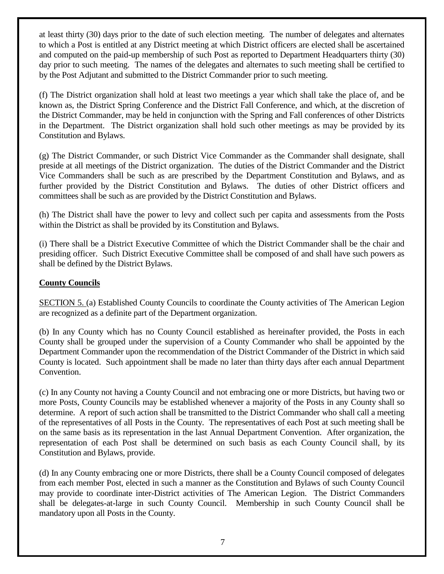at least thirty (30) days prior to the date of such election meeting. The number of delegates and alternates to which a Post is entitled at any District meeting at which District officers are elected shall be ascertained and computed on the paid-up membership of such Post as reported to Department Headquarters thirty (30) day prior to such meeting. The names of the delegates and alternates to such meeting shall be certified to by the Post Adjutant and submitted to the District Commander prior to such meeting.

(f) The District organization shall hold at least two meetings a year which shall take the place of, and be known as, the District Spring Conference and the District Fall Conference, and which, at the discretion of the District Commander, may be held in conjunction with the Spring and Fall conferences of other Districts in the Department. The District organization shall hold such other meetings as may be provided by its Constitution and Bylaws.

(g) The District Commander, or such District Vice Commander as the Commander shall designate, shall preside at all meetings of the District organization. The duties of the District Commander and the District Vice Commanders shall be such as are prescribed by the Department Constitution and Bylaws, and as further provided by the District Constitution and Bylaws. The duties of other District officers and committees shall be such as are provided by the District Constitution and Bylaws.

(h) The District shall have the power to levy and collect such per capita and assessments from the Posts within the District as shall be provided by its Constitution and Bylaws.

(i) There shall be a District Executive Committee of which the District Commander shall be the chair and presiding officer. Such District Executive Committee shall be composed of and shall have such powers as shall be defined by the District Bylaws.

# **County Councils**

SECTION 5. (a) Established County Councils to coordinate the County activities of The American Legion are recognized as a definite part of the Department organization.

(b) In any County which has no County Council established as hereinafter provided, the Posts in each County shall be grouped under the supervision of a County Commander who shall be appointed by the Department Commander upon the recommendation of the District Commander of the District in which said County is located. Such appointment shall be made no later than thirty days after each annual Department Convention.

(c) In any County not having a County Council and not embracing one or more Districts, but having two or more Posts, County Councils may be established whenever a majority of the Posts in any County shall so determine. A report of such action shall be transmitted to the District Commander who shall call a meeting of the representatives of all Posts in the County. The representatives of each Post at such meeting shall be on the same basis as its representation in the last Annual Department Convention. After organization, the representation of each Post shall be determined on such basis as each County Council shall, by its Constitution and Bylaws, provide.

(d) In any County embracing one or more Districts, there shall be a County Council composed of delegates from each member Post, elected in such a manner as the Constitution and Bylaws of such County Council may provide to coordinate inter-District activities of The American Legion. The District Commanders shall be delegates-at-large in such County Council. Membership in such County Council shall be mandatory upon all Posts in the County.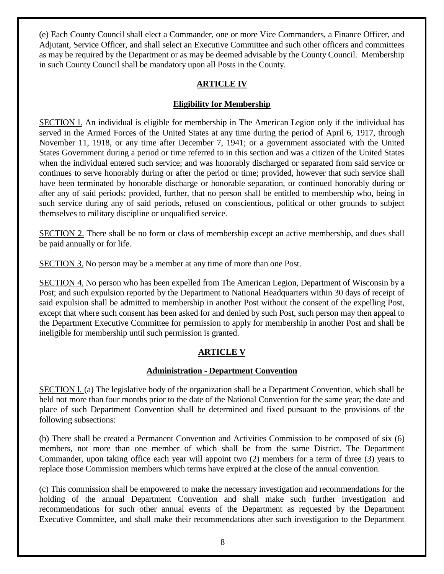(e) Each County Council shall elect a Commander, one or more Vice Commanders, a Finance Officer, and Adjutant, Service Officer, and shall select an Executive Committee and such other officers and committees as may be required by the Department or as may be deemed advisable by the County Council. Membership in such County Council shall be mandatory upon all Posts in the County.

# **ARTICLE IV**

# **Eligibility for Membership**

SECTION l. An individual is eligible for membership in The American Legion only if the individual has served in the Armed Forces of the United States at any time during the period of April 6, 1917, through November 11, 1918, or any time after December 7, 1941; or a government associated with the United States Government during a period or time referred to in this section and was a citizen of the United States when the individual entered such service; and was honorably discharged or separated from said service or continues to serve honorably during or after the period or time; provided, however that such service shall have been terminated by honorable discharge or honorable separation, or continued honorably during or after any of said periods; provided, further, that no person shall be entitled to membership who, being in such service during any of said periods, refused on conscientious, political or other grounds to subject themselves to military discipline or unqualified service.

SECTION 2. There shall be no form or class of membership except an active membership, and dues shall be paid annually or for life.

SECTION 3. No person may be a member at any time of more than one Post.

SECTION 4. No person who has been expelled from The American Legion, Department of Wisconsin by a Post; and such expulsion reported by the Department to National Headquarters within 30 days of receipt of said expulsion shall be admitted to membership in another Post without the consent of the expelling Post, except that where such consent has been asked for and denied by such Post, such person may then appeal to the Department Executive Committee for permission to apply for membership in another Post and shall be ineligible for membership until such permission is granted.

# **ARTICLE V**

# **Administration - Department Convention**

SECTION l. (a) The legislative body of the organization shall be a Department Convention, which shall be held not more than four months prior to the date of the National Convention for the same year; the date and place of such Department Convention shall be determined and fixed pursuant to the provisions of the following subsections:

(b) There shall be created a Permanent Convention and Activities Commission to be composed of six (6) members, not more than one member of which shall be from the same District. The Department Commander, upon taking office each year will appoint two (2) members for a term of three (3) years to replace those Commission members which terms have expired at the close of the annual convention.

(c) This commission shall be empowered to make the necessary investigation and recommendations for the holding of the annual Department Convention and shall make such further investigation and recommendations for such other annual events of the Department as requested by the Department Executive Committee, and shall make their recommendations after such investigation to the Department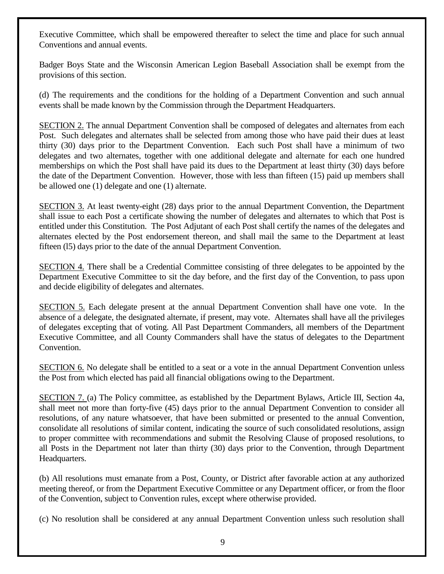Executive Committee, which shall be empowered thereafter to select the time and place for such annual Conventions and annual events.

Badger Boys State and the Wisconsin American Legion Baseball Association shall be exempt from the provisions of this section.

(d) The requirements and the conditions for the holding of a Department Convention and such annual events shall be made known by the Commission through the Department Headquarters.

SECTION 2. The annual Department Convention shall be composed of delegates and alternates from each Post. Such delegates and alternates shall be selected from among those who have paid their dues at least thirty (30) days prior to the Department Convention. Each such Post shall have a minimum of two delegates and two alternates, together with one additional delegate and alternate for each one hundred memberships on which the Post shall have paid its dues to the Department at least thirty (30) days before the date of the Department Convention. However, those with less than fifteen (15) paid up members shall be allowed one (1) delegate and one (1) alternate.

SECTION 3. At least twenty-eight (28) days prior to the annual Department Convention, the Department shall issue to each Post a certificate showing the number of delegates and alternates to which that Post is entitled under this Constitution. The Post Adjutant of each Post shall certify the names of the delegates and alternates elected by the Post endorsement thereon, and shall mail the same to the Department at least fifteen (l5) days prior to the date of the annual Department Convention.

SECTION 4. There shall be a Credential Committee consisting of three delegates to be appointed by the Department Executive Committee to sit the day before, and the first day of the Convention, to pass upon and decide eligibility of delegates and alternates.

SECTION 5. Each delegate present at the annual Department Convention shall have one vote. In the absence of a delegate, the designated alternate, if present, may vote. Alternates shall have all the privileges of delegates excepting that of voting. All Past Department Commanders, all members of the Department Executive Committee, and all County Commanders shall have the status of delegates to the Department Convention.

SECTION 6. No delegate shall be entitled to a seat or a vote in the annual Department Convention unless the Post from which elected has paid all financial obligations owing to the Department.

SECTION 7. (a) The Policy committee, as established by the Department Bylaws, Article III, Section 4a, shall meet not more than forty-five (45) days prior to the annual Department Convention to consider all resolutions, of any nature whatsoever, that have been submitted or presented to the annual Convention, consolidate all resolutions of similar content, indicating the source of such consolidated resolutions, assign to proper committee with recommendations and submit the Resolving Clause of proposed resolutions, to all Posts in the Department not later than thirty (30) days prior to the Convention, through Department Headquarters.

(b) All resolutions must emanate from a Post, County, or District after favorable action at any authorized meeting thereof, or from the Department Executive Committee or any Department officer, or from the floor of the Convention, subject to Convention rules, except where otherwise provided.

(c) No resolution shall be considered at any annual Department Convention unless such resolution shall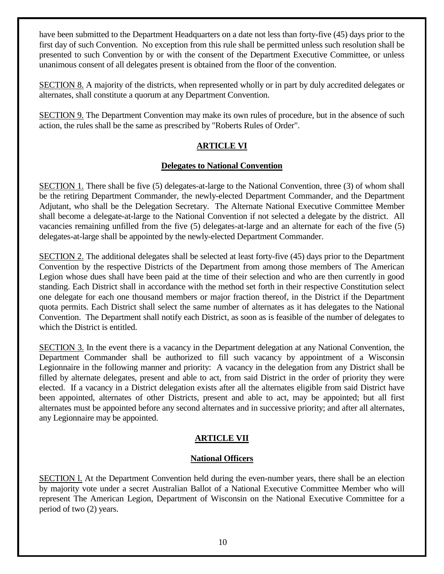have been submitted to the Department Headquarters on a date not less than forty-five (45) days prior to the first day of such Convention. No exception from this rule shall be permitted unless such resolution shall be presented to such Convention by or with the consent of the Department Executive Committee, or unless unanimous consent of all delegates present is obtained from the floor of the convention.

SECTION 8. A majority of the districts, when represented wholly or in part by duly accredited delegates or alternates, shall constitute a quorum at any Department Convention.

SECTION 9. The Department Convention may make its own rules of procedure, but in the absence of such action, the rules shall be the same as prescribed by "Roberts Rules of Order".

# **ARTICLE VI**

# **Delegates to National Convention**

SECTION 1. There shall be five (5) delegates-at-large to the National Convention, three (3) of whom shall be the retiring Department Commander, the newly-elected Department Commander, and the Department Adjutant, who shall be the Delegation Secretary. The Alternate National Executive Committee Member shall become a delegate-at-large to the National Convention if not selected a delegate by the district. All vacancies remaining unfilled from the five (5) delegates-at-large and an alternate for each of the five (5) delegates-at-large shall be appointed by the newly-elected Department Commander.

SECTION 2. The additional delegates shall be selected at least forty-five (45) days prior to the Department Convention by the respective Districts of the Department from among those members of The American Legion whose dues shall have been paid at the time of their selection and who are then currently in good standing. Each District shall in accordance with the method set forth in their respective Constitution select one delegate for each one thousand members or major fraction thereof, in the District if the Department quota permits. Each District shall select the same number of alternates as it has delegates to the National Convention. The Department shall notify each District, as soon as is feasible of the number of delegates to which the District is entitled.

SECTION 3. In the event there is a vacancy in the Department delegation at any National Convention, the Department Commander shall be authorized to fill such vacancy by appointment of a Wisconsin Legionnaire in the following manner and priority: A vacancy in the delegation from any District shall be filled by alternate delegates, present and able to act, from said District in the order of priority they were elected. If a vacancy in a District delegation exists after all the alternates eligible from said District have been appointed, alternates of other Districts, present and able to act, may be appointed; but all first alternates must be appointed before any second alternates and in successive priority; and after all alternates, any Legionnaire may be appointed.

# **ARTICLE VII**

# **National Officers**

SECTION l. At the Department Convention held during the even-number years, there shall be an election by majority vote under a secret Australian Ballot of a National Executive Committee Member who will represent The American Legion, Department of Wisconsin on the National Executive Committee for a period of two (2) years.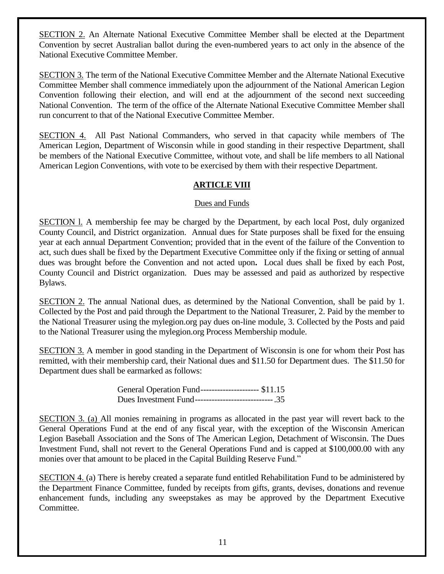SECTION 2. An Alternate National Executive Committee Member shall be elected at the Department Convention by secret Australian ballot during the even-numbered years to act only in the absence of the National Executive Committee Member.

SECTION 3. The term of the National Executive Committee Member and the Alternate National Executive Committee Member shall commence immediately upon the adjournment of the National American Legion Convention following their election, and will end at the adjournment of the second next succeeding National Convention. The term of the office of the Alternate National Executive Committee Member shall run concurrent to that of the National Executive Committee Member.

SECTION 4.All Past National Commanders, who served in that capacity while members of The American Legion, Department of Wisconsin while in good standing in their respective Department, shall be members of the National Executive Committee, without vote, and shall be life members to all National American Legion Conventions, with vote to be exercised by them with their respective Department.

# **ARTICLE VIII**

#### Dues and Funds

SECTION l. A membership fee may be charged by the Department, by each local Post, duly organized County Council, and District organization. Annual dues for State purposes shall be fixed for the ensuing year at each annual Department Convention; provided that in the event of the failure of the Convention to act, such dues shall be fixed by the Department Executive Committee only if the fixing or setting of annual dues was brought before the Convention and not acted upon**.** Local dues shall be fixed by each Post, County Council and District organization. Dues may be assessed and paid as authorized by respective Bylaws.

SECTION 2. The annual National dues, as determined by the National Convention, shall be paid by 1. Collected by the Post and paid through the Department to the National Treasurer, 2. Paid by the member to the National Treasurer using the mylegion.org pay dues on-line module, 3. Collected by the Posts and paid to the National Treasurer using the mylegion.org Process Membership module.

SECTION 3. A member in good standing in the Department of Wisconsin is one for whom their Post has remitted, with their membership card, their National dues and \$11.50 for Department dues. The \$11.50 for Department dues shall be earmarked as follows:

> General Operation Fund--------------------- \$11.15 Dues Investment Fund----------------------------.35

SECTION 3. (a) All monies remaining in programs as allocated in the past year will revert back to the General Operations Fund at the end of any fiscal year, with the exception of the Wisconsin American Legion Baseball Association and the Sons of The American Legion, Detachment of Wisconsin. The Dues Investment Fund, shall not revert to the General Operations Fund and is capped at \$100,000.00 with any monies over that amount to be placed in the Capital Building Reserve Fund."

SECTION 4. (a) There is hereby created a separate fund entitled Rehabilitation Fund to be administered by the Department Finance Committee, funded by receipts from gifts, grants, devises, donations and revenue enhancement funds, including any sweepstakes as may be approved by the Department Executive Committee.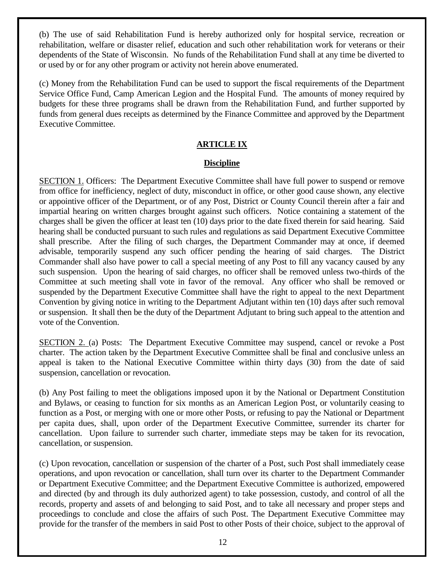(b) The use of said Rehabilitation Fund is hereby authorized only for hospital service, recreation or rehabilitation, welfare or disaster relief, education and such other rehabilitation work for veterans or their dependents of the State of Wisconsin. No funds of the Rehabilitation Fund shall at any time be diverted to or used by or for any other program or activity not herein above enumerated.

(c) Money from the Rehabilitation Fund can be used to support the fiscal requirements of the Department Service Office Fund, Camp American Legion and the Hospital Fund. The amounts of money required by budgets for these three programs shall be drawn from the Rehabilitation Fund, and further supported by funds from general dues receipts as determined by the Finance Committee and approved by the Department Executive Committee.

# **ARTICLE IX**

## **Discipline**

SECTION 1. Officers: The Department Executive Committee shall have full power to suspend or remove from office for inefficiency, neglect of duty, misconduct in office, or other good cause shown, any elective or appointive officer of the Department, or of any Post, District or County Council therein after a fair and impartial hearing on written charges brought against such officers. Notice containing a statement of the charges shall be given the officer at least ten (10) days prior to the date fixed therein for said hearing. Said hearing shall be conducted pursuant to such rules and regulations as said Department Executive Committee shall prescribe. After the filing of such charges, the Department Commander may at once, if deemed advisable, temporarily suspend any such officer pending the hearing of said charges. The District Commander shall also have power to call a special meeting of any Post to fill any vacancy caused by any such suspension. Upon the hearing of said charges, no officer shall be removed unless two-thirds of the Committee at such meeting shall vote in favor of the removal. Any officer who shall be removed or suspended by the Department Executive Committee shall have the right to appeal to the next Department Convention by giving notice in writing to the Department Adjutant within ten (10) days after such removal or suspension. It shall then be the duty of the Department Adjutant to bring such appeal to the attention and vote of the Convention.

SECTION 2. (a) Posts: The Department Executive Committee may suspend, cancel or revoke a Post charter. The action taken by the Department Executive Committee shall be final and conclusive unless an appeal is taken to the National Executive Committee within thirty days (30) from the date of said suspension, cancellation or revocation.

(b) Any Post failing to meet the obligations imposed upon it by the National or Department Constitution and Bylaws, or ceasing to function for six months as an American Legion Post, or voluntarily ceasing to function as a Post, or merging with one or more other Posts, or refusing to pay the National or Department per capita dues, shall, upon order of the Department Executive Committee, surrender its charter for cancellation. Upon failure to surrender such charter, immediate steps may be taken for its revocation, cancellation, or suspension.

(c) Upon revocation, cancellation or suspension of the charter of a Post, such Post shall immediately cease operations, and upon revocation or cancellation, shall turn over its charter to the Department Commander or Department Executive Committee; and the Department Executive Committee is authorized, empowered and directed (by and through its duly authorized agent) to take possession, custody, and control of all the records, property and assets of and belonging to said Post, and to take all necessary and proper steps and proceedings to conclude and close the affairs of such Post. The Department Executive Committee may provide for the transfer of the members in said Post to other Posts of their choice, subject to the approval of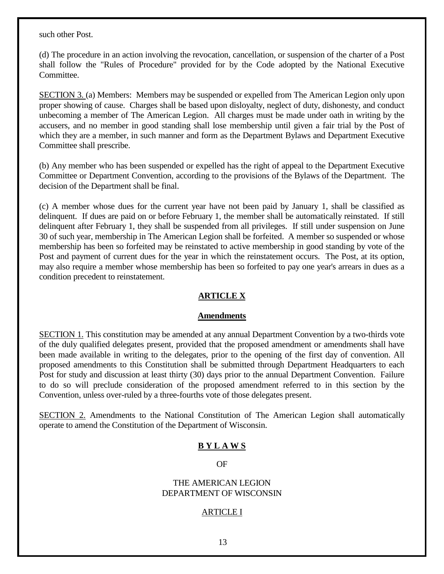such other Post.

(d) The procedure in an action involving the revocation, cancellation, or suspension of the charter of a Post shall follow the "Rules of Procedure" provided for by the Code adopted by the National Executive Committee.

SECTION 3. (a) Members: Members may be suspended or expelled from The American Legion only upon proper showing of cause. Charges shall be based upon disloyalty, neglect of duty, dishonesty, and conduct unbecoming a member of The American Legion. All charges must be made under oath in writing by the accusers, and no member in good standing shall lose membership until given a fair trial by the Post of which they are a member, in such manner and form as the Department Bylaws and Department Executive Committee shall prescribe.

(b) Any member who has been suspended or expelled has the right of appeal to the Department Executive Committee or Department Convention, according to the provisions of the Bylaws of the Department. The decision of the Department shall be final.

(c) A member whose dues for the current year have not been paid by January 1, shall be classified as delinquent. If dues are paid on or before February 1, the member shall be automatically reinstated. If still delinquent after February 1, they shall be suspended from all privileges. If still under suspension on June 30 of such year, membership in The American Legion shall be forfeited. A member so suspended or whose membership has been so forfeited may be reinstated to active membership in good standing by vote of the Post and payment of current dues for the year in which the reinstatement occurs. The Post, at its option, may also require a member whose membership has been so forfeited to pay one year's arrears in dues as a condition precedent to reinstatement.

#### **ARTICLE X**

#### **Amendments**

SECTION 1. This constitution may be amended at any annual Department Convention by a two-thirds vote of the duly qualified delegates present, provided that the proposed amendment or amendments shall have been made available in writing to the delegates, prior to the opening of the first day of convention. All proposed amendments to this Constitution shall be submitted through Department Headquarters to each Post for study and discussion at least thirty (30) days prior to the annual Department Convention. Failure to do so will preclude consideration of the proposed amendment referred to in this section by the Convention, unless over-ruled by a three-fourths vote of those delegates present.

SECTION 2. Amendments to the National Constitution of The American Legion shall automatically operate to amend the Constitution of the Department of Wisconsin.

# **B Y L A W S**

OF

#### THE AMERICAN LEGION DEPARTMENT OF WISCONSIN

#### ARTICLE I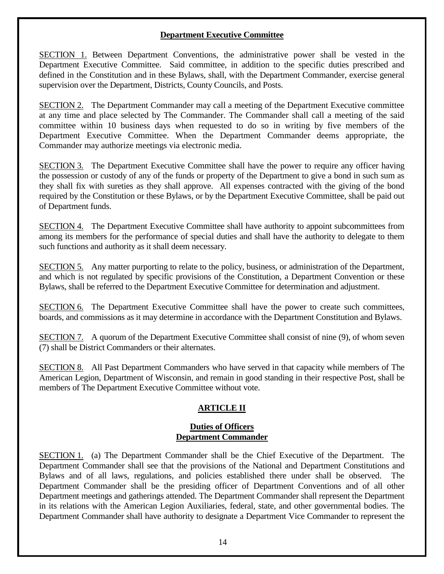## **Department Executive Committee**

SECTION 1. Between Department Conventions, the administrative power shall be vested in the Department Executive Committee. Said committee, in addition to the specific duties prescribed and defined in the Constitution and in these Bylaws, shall, with the Department Commander, exercise general supervision over the Department, Districts, County Councils, and Posts.

SECTION 2. The Department Commander may call a meeting of the Department Executive committee at any time and place selected by The Commander. The Commander shall call a meeting of the said committee within 10 business days when requested to do so in writing by five members of the Department Executive Committee. When the Department Commander deems appropriate, the Commander may authorize meetings via electronic media.

SECTION 3. The Department Executive Committee shall have the power to require any officer having the possession or custody of any of the funds or property of the Department to give a bond in such sum as they shall fix with sureties as they shall approve. All expenses contracted with the giving of the bond required by the Constitution or these Bylaws, or by the Department Executive Committee, shall be paid out of Department funds.

SECTION 4. The Department Executive Committee shall have authority to appoint subcommittees from among its members for the performance of special duties and shall have the authority to delegate to them such functions and authority as it shall deem necessary.

SECTION 5. Any matter purporting to relate to the policy, business, or administration of the Department, and which is not regulated by specific provisions of the Constitution, a Department Convention or these Bylaws, shall be referred to the Department Executive Committee for determination and adjustment.

SECTION 6. The Department Executive Committee shall have the power to create such committees, boards, and commissions as it may determine in accordance with the Department Constitution and Bylaws.

SECTION 7. A quorum of the Department Executive Committee shall consist of nine (9), of whom seven (7) shall be District Commanders or their alternates.

SECTION 8. All Past Department Commanders who have served in that capacity while members of The American Legion, Department of Wisconsin, and remain in good standing in their respective Post, shall be members of The Department Executive Committee without vote.

# **ARTICLE II**

#### **Duties of Officers Department Commander**

SECTION 1. (a) The Department Commander shall be the Chief Executive of the Department. The Department Commander shall see that the provisions of the National and Department Constitutions and Bylaws and of all laws, regulations, and policies established there under shall be observed. The Department Commander shall be the presiding officer of Department Conventions and of all other Department meetings and gatherings attended. The Department Commander shall represent the Department in its relations with the American Legion Auxiliaries, federal, state, and other governmental bodies. The Department Commander shall have authority to designate a Department Vice Commander to represent the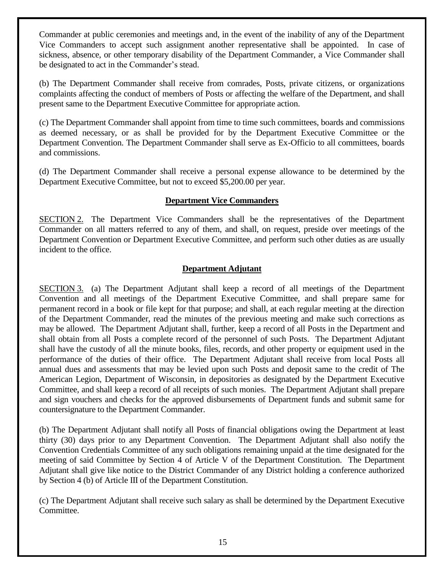Commander at public ceremonies and meetings and, in the event of the inability of any of the Department Vice Commanders to accept such assignment another representative shall be appointed. In case of sickness, absence, or other temporary disability of the Department Commander, a Vice Commander shall be designated to act in the Commander's stead.

(b) The Department Commander shall receive from comrades, Posts, private citizens, or organizations complaints affecting the conduct of members of Posts or affecting the welfare of the Department, and shall present same to the Department Executive Committee for appropriate action.

(c) The Department Commander shall appoint from time to time such committees, boards and commissions as deemed necessary, or as shall be provided for by the Department Executive Committee or the Department Convention. The Department Commander shall serve as Ex-Officio to all committees, boards and commissions.

(d) The Department Commander shall receive a personal expense allowance to be determined by the Department Executive Committee, but not to exceed \$5,200.00 per year.

## **Department Vice Commanders**

SECTION 2. The Department Vice Commanders shall be the representatives of the Department Commander on all matters referred to any of them, and shall, on request, preside over meetings of the Department Convention or Department Executive Committee, and perform such other duties as are usually incident to the office.

# **Department Adjutant**

SECTION 3. (a) The Department Adjutant shall keep a record of all meetings of the Department Convention and all meetings of the Department Executive Committee, and shall prepare same for permanent record in a book or file kept for that purpose; and shall, at each regular meeting at the direction of the Department Commander, read the minutes of the previous meeting and make such corrections as may be allowed. The Department Adjutant shall, further, keep a record of all Posts in the Department and shall obtain from all Posts a complete record of the personnel of such Posts. The Department Adjutant shall have the custody of all the minute books, files, records, and other property or equipment used in the performance of the duties of their office. The Department Adjutant shall receive from local Posts all annual dues and assessments that may be levied upon such Posts and deposit same to the credit of The American Legion, Department of Wisconsin, in depositories as designated by the Department Executive Committee, and shall keep a record of all receipts of such monies. The Department Adjutant shall prepare and sign vouchers and checks for the approved disbursements of Department funds and submit same for countersignature to the Department Commander.

(b) The Department Adjutant shall notify all Posts of financial obligations owing the Department at least thirty (30) days prior to any Department Convention. The Department Adjutant shall also notify the Convention Credentials Committee of any such obligations remaining unpaid at the time designated for the meeting of said Committee by Section 4 of Article V of the Department Constitution. The Department Adjutant shall give like notice to the District Commander of any District holding a conference authorized by Section 4 (b) of Article III of the Department Constitution.

(c) The Department Adjutant shall receive such salary as shall be determined by the Department Executive Committee.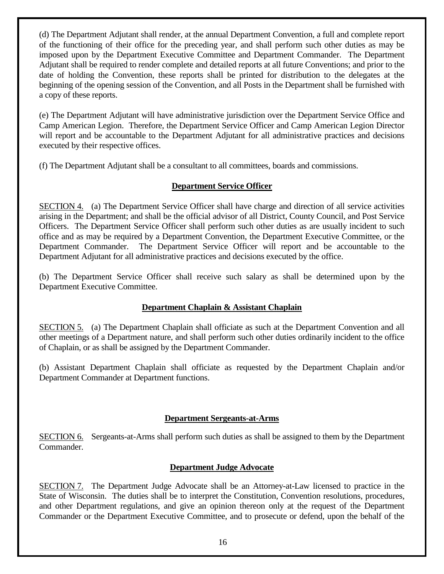(d) The Department Adjutant shall render, at the annual Department Convention, a full and complete report of the functioning of their office for the preceding year, and shall perform such other duties as may be imposed upon by the Department Executive Committee and Department Commander. The Department Adjutant shall be required to render complete and detailed reports at all future Conventions; and prior to the date of holding the Convention, these reports shall be printed for distribution to the delegates at the beginning of the opening session of the Convention, and all Posts in the Department shall be furnished with a copy of these reports.

(e) The Department Adjutant will have administrative jurisdiction over the Department Service Office and Camp American Legion. Therefore, the Department Service Officer and Camp American Legion Director will report and be accountable to the Department Adjutant for all administrative practices and decisions executed by their respective offices.

(f) The Department Adjutant shall be a consultant to all committees, boards and commissions.

# **Department Service Officer**

SECTION 4. (a) The Department Service Officer shall have charge and direction of all service activities arising in the Department; and shall be the official advisor of all District, County Council, and Post Service Officers. The Department Service Officer shall perform such other duties as are usually incident to such office and as may be required by a Department Convention, the Department Executive Committee, or the Department Commander. The Department Service Officer will report and be accountable to the Department Adjutant for all administrative practices and decisions executed by the office.

(b) The Department Service Officer shall receive such salary as shall be determined upon by the Department Executive Committee.

# **Department Chaplain & Assistant Chaplain**

SECTION 5. (a) The Department Chaplain shall officiate as such at the Department Convention and all other meetings of a Department nature, and shall perform such other duties ordinarily incident to the office of Chaplain, or as shall be assigned by the Department Commander.

(b) Assistant Department Chaplain shall officiate as requested by the Department Chaplain and/or Department Commander at Department functions.

# **Department Sergeants-at-Arms**

SECTION 6. Sergeants-at-Arms shall perform such duties as shall be assigned to them by the Department Commander.

# **Department Judge Advocate**

SECTION 7. The Department Judge Advocate shall be an Attorney-at-Law licensed to practice in the State of Wisconsin. The duties shall be to interpret the Constitution, Convention resolutions, procedures, and other Department regulations, and give an opinion thereon only at the request of the Department Commander or the Department Executive Committee, and to prosecute or defend, upon the behalf of the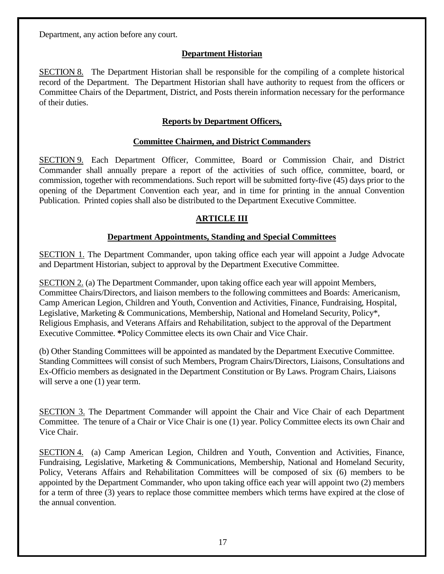Department, any action before any court.

# **Department Historian**

SECTION 8. The Department Historian shall be responsible for the compiling of a complete historical record of the Department. The Department Historian shall have authority to request from the officers or Committee Chairs of the Department, District, and Posts therein information necessary for the performance of their duties.

# **Reports by Department Officers,**

## **Committee Chairmen, and District Commanders**

SECTION 9. Each Department Officer, Committee, Board or Commission Chair, and District Commander shall annually prepare a report of the activities of such office, committee, board, or commission, together with recommendations. Such report will be submitted forty-five (45) days prior to the opening of the Department Convention each year, and in time for printing in the annual Convention Publication. Printed copies shall also be distributed to the Department Executive Committee.

# **ARTICLE III**

# **Department Appointments, Standing and Special Committees**

SECTION 1. The Department Commander, upon taking office each year will appoint a Judge Advocate and Department Historian, subject to approval by the Department Executive Committee.

SECTION 2. (a) The Department Commander, upon taking office each year will appoint Members, Committee Chairs/Directors, and liaison members to the following committees and Boards: Americanism, Camp American Legion, Children and Youth, Convention and Activities, Finance, Fundraising, Hospital, Legislative, Marketing & Communications, Membership, National and Homeland Security, Policy\*, Religious Emphasis, and Veterans Affairs and Rehabilitation, subject to the approval of the Department Executive Committee. **\***Policy Committee elects its own Chair and Vice Chair.

(b) Other Standing Committees will be appointed as mandated by the Department Executive Committee. Standing Committees will consist of such Members, Program Chairs/Directors, Liaisons, Consultations and Ex-Officio members as designated in the Department Constitution or By Laws. Program Chairs, Liaisons will serve a one  $(1)$  year term.

SECTION 3. The Department Commander will appoint the Chair and Vice Chair of each Department Committee. The tenure of a Chair or Vice Chair is one (1) year. Policy Committee elects its own Chair and Vice Chair.

SECTION 4. (a) Camp American Legion, Children and Youth, Convention and Activities, Finance, Fundraising, Legislative, Marketing & Communications, Membership, National and Homeland Security, Policy, Veterans Affairs and Rehabilitation Committees will be composed of six (6) members to be appointed by the Department Commander, who upon taking office each year will appoint two (2) members for a term of three (3) years to replace those committee members which terms have expired at the close of the annual convention.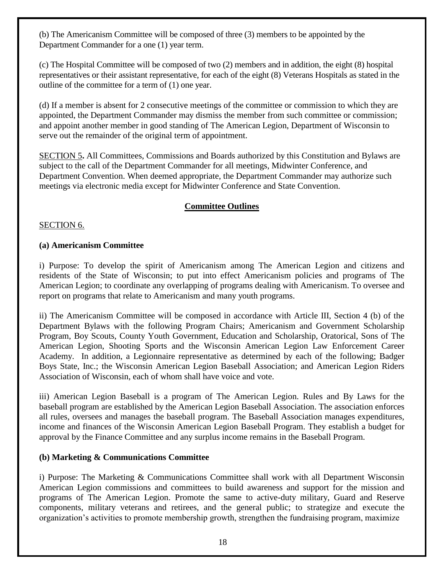(b) The Americanism Committee will be composed of three (3) members to be appointed by the Department Commander for a one (1) year term.

(c) The Hospital Committee will be composed of two (2) members and in addition, the eight (8) hospital representatives or their assistant representative, for each of the eight (8) Veterans Hospitals as stated in the outline of the committee for a term of (1) one year.

(d) If a member is absent for 2 consecutive meetings of the committee or commission to which they are appointed, the Department Commander may dismiss the member from such committee or commission; and appoint another member in good standing of The American Legion, Department of Wisconsin to serve out the remainder of the original term of appointment.

SECTION 5**.** All Committees, Commissions and Boards authorized by this Constitution and Bylaws are subject to the call of the Department Commander for all meetings, Midwinter Conference, and Department Convention. When deemed appropriate, the Department Commander may authorize such meetings via electronic media except for Midwinter Conference and State Convention.

# **Committee Outlines**

## SECTION 6.

## **(a) Americanism Committee**

i) Purpose: To develop the spirit of Americanism among The American Legion and citizens and residents of the State of Wisconsin; to put into effect Americanism policies and programs of The American Legion; to coordinate any overlapping of programs dealing with Americanism. To oversee and report on programs that relate to Americanism and many youth programs.

ii) The Americanism Committee will be composed in accordance with Article III, Section 4 (b) of the Department Bylaws with the following Program Chairs; Americanism and Government Scholarship Program, Boy Scouts, County Youth Government, Education and Scholarship, Oratorical, Sons of The American Legion, Shooting Sports and the Wisconsin American Legion Law Enforcement Career Academy. In addition, a Legionnaire representative as determined by each of the following; Badger Boys State, Inc.; the Wisconsin American Legion Baseball Association; and American Legion Riders Association of Wisconsin, each of whom shall have voice and vote.

iii) American Legion Baseball is a program of The American Legion. Rules and By Laws for the baseball program are established by the American Legion Baseball Association. The association enforces all rules, oversees and manages the baseball program. The Baseball Association manages expenditures, income and finances of the Wisconsin American Legion Baseball Program. They establish a budget for approval by the Finance Committee and any surplus income remains in the Baseball Program.

# **(b) Marketing & Communications Committee**

i) Purpose: The Marketing & Communications Committee shall work with all Department Wisconsin American Legion commissions and committees to build awareness and support for the mission and programs of The American Legion. Promote the same to active-duty military, Guard and Reserve components, military veterans and retirees, and the general public; to strategize and execute the organization's activities to promote membership growth, strengthen the fundraising program, maximize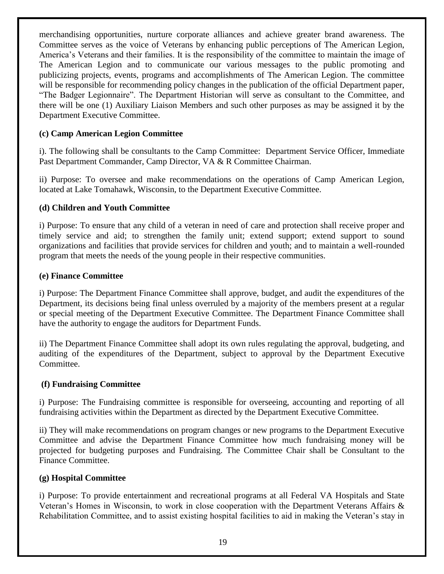merchandising opportunities, nurture corporate alliances and achieve greater brand awareness. The Committee serves as the voice of Veterans by enhancing public perceptions of The American Legion, America's Veterans and their families. It is the responsibility of the committee to maintain the image of The American Legion and to communicate our various messages to the public promoting and publicizing projects, events, programs and accomplishments of The American Legion. The committee will be responsible for recommending policy changes in the publication of the official Department paper, "The Badger Legionnaire". The Department Historian will serve as consultant to the Committee, and there will be one (1) Auxiliary Liaison Members and such other purposes as may be assigned it by the Department Executive Committee.

# **(c) Camp American Legion Committee**

i). The following shall be consultants to the Camp Committee: Department Service Officer, Immediate Past Department Commander, Camp Director, VA & R Committee Chairman.

ii) Purpose: To oversee and make recommendations on the operations of Camp American Legion, located at Lake Tomahawk, Wisconsin, to the Department Executive Committee.

# **(d) Children and Youth Committee**

i) Purpose: To ensure that any child of a veteran in need of care and protection shall receive proper and timely service and aid; to strengthen the family unit; extend support; extend support to sound organizations and facilities that provide services for children and youth; and to maintain a well-rounded program that meets the needs of the young people in their respective communities.

# **(e) Finance Committee**

i) Purpose: The Department Finance Committee shall approve, budget, and audit the expenditures of the Department, its decisions being final unless overruled by a majority of the members present at a regular or special meeting of the Department Executive Committee. The Department Finance Committee shall have the authority to engage the auditors for Department Funds.

ii) The Department Finance Committee shall adopt its own rules regulating the approval, budgeting, and auditing of the expenditures of the Department, subject to approval by the Department Executive Committee.

# **(f) Fundraising Committee**

i) Purpose: The Fundraising committee is responsible for overseeing, accounting and reporting of all fundraising activities within the Department as directed by the Department Executive Committee.

ii) They will make recommendations on program changes or new programs to the Department Executive Committee and advise the Department Finance Committee how much fundraising money will be projected for budgeting purposes and Fundraising. The Committee Chair shall be Consultant to the Finance Committee.

# **(g) Hospital Committee**

i) Purpose: To provide entertainment and recreational programs at all Federal VA Hospitals and State Veteran's Homes in Wisconsin, to work in close cooperation with the Department Veterans Affairs & Rehabilitation Committee, and to assist existing hospital facilities to aid in making the Veteran's stay in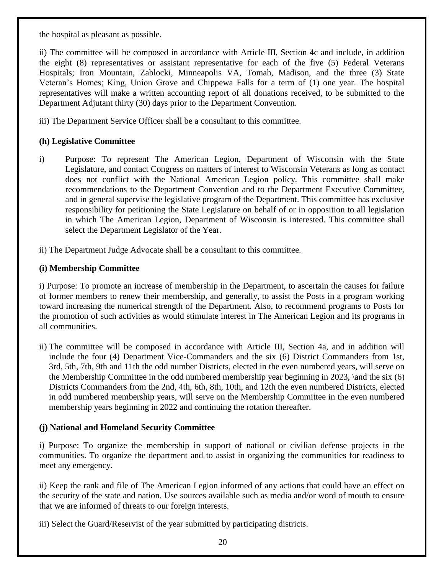the hospital as pleasant as possible.

ii) The committee will be composed in accordance with Article III, Section 4c and include, in addition the eight (8) representatives or assistant representative for each of the five (5) Federal Veterans Hospitals; Iron Mountain, Zablocki, Minneapolis VA, Tomah, Madison, and the three (3) State Veteran's Homes; King, Union Grove and Chippewa Falls for a term of (1) one year. The hospital representatives will make a written accounting report of all donations received, to be submitted to the Department Adjutant thirty (30) days prior to the Department Convention.

iii) The Department Service Officer shall be a consultant to this committee.

# **(h) Legislative Committee**

- i) Purpose: To represent The American Legion, Department of Wisconsin with the State Legislature, and contact Congress on matters of interest to Wisconsin Veterans as long as contact does not conflict with the National American Legion policy. This committee shall make recommendations to the Department Convention and to the Department Executive Committee, and in general supervise the legislative program of the Department. This committee has exclusive responsibility for petitioning the State Legislature on behalf of or in opposition to all legislation in which The American Legion, Department of Wisconsin is interested. This committee shall select the Department Legislator of the Year.
- ii) The Department Judge Advocate shall be a consultant to this committee.

# **(i) Membership Committee**

i) Purpose: To promote an increase of membership in the Department, to ascertain the causes for failure of former members to renew their membership, and generally, to assist the Posts in a program working toward increasing the numerical strength of the Department. Also, to recommend programs to Posts for the promotion of such activities as would stimulate interest in The American Legion and its programs in all communities.

ii) The committee will be composed in accordance with Article III, Section 4a, and in addition will include the four (4) Department Vice-Commanders and the six (6) District Commanders from 1st, 3rd, 5th, 7th, 9th and 11th the odd number Districts, elected in the even numbered years, will serve on the Membership Committee in the odd numbered membership year beginning in 2023, \and the six (6) Districts Commanders from the 2nd, 4th, 6th, 8th, 10th, and 12th the even numbered Districts, elected in odd numbered membership years, will serve on the Membership Committee in the even numbered membership years beginning in 2022 and continuing the rotation thereafter.

# **(j) National and Homeland Security Committee**

i) Purpose: To organize the membership in support of national or civilian defense projects in the communities. To organize the department and to assist in organizing the communities for readiness to meet any emergency.

ii) Keep the rank and file of The American Legion informed of any actions that could have an effect on the security of the state and nation. Use sources available such as media and/or word of mouth to ensure that we are informed of threats to our foreign interests.

iii) Select the Guard/Reservist of the year submitted by participating districts.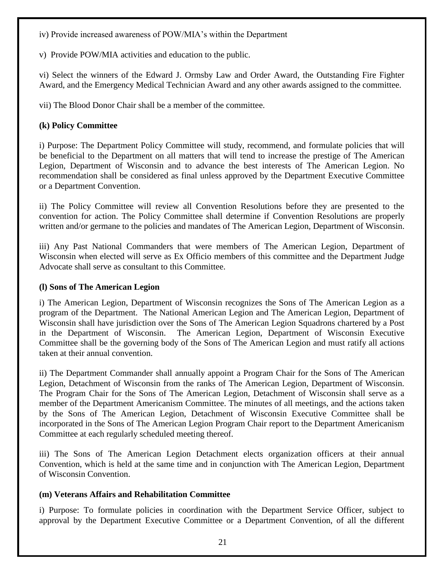iv) Provide increased awareness of POW/MIA's within the Department

v)Provide POW/MIA activities and education to the public.

vi) Select the winners of the Edward J. Ormsby Law and Order Award, the Outstanding Fire Fighter Award, and the Emergency Medical Technician Award and any other awards assigned to the committee.

vii) The Blood Donor Chair shall be a member of the committee.

# **(k) Policy Committee**

i) Purpose: The Department Policy Committee will study, recommend, and formulate policies that will be beneficial to the Department on all matters that will tend to increase the prestige of The American Legion, Department of Wisconsin and to advance the best interests of The American Legion. No recommendation shall be considered as final unless approved by the Department Executive Committee or a Department Convention.

ii) The Policy Committee will review all Convention Resolutions before they are presented to the convention for action. The Policy Committee shall determine if Convention Resolutions are properly written and/or germane to the policies and mandates of The American Legion, Department of Wisconsin.

iii) Any Past National Commanders that were members of The American Legion, Department of Wisconsin when elected will serve as Ex Officio members of this committee and the Department Judge Advocate shall serve as consultant to this Committee.

# **(l) Sons of The American Legion**

i) The American Legion, Department of Wisconsin recognizes the Sons of The American Legion as a program of the Department. The National American Legion and The American Legion, Department of Wisconsin shall have jurisdiction over the Sons of The American Legion Squadrons chartered by a Post in the Department of Wisconsin. The American Legion, Department of Wisconsin Executive Committee shall be the governing body of the Sons of The American Legion and must ratify all actions taken at their annual convention.

ii) The Department Commander shall annually appoint a Program Chair for the Sons of The American Legion, Detachment of Wisconsin from the ranks of The American Legion, Department of Wisconsin. The Program Chair for the Sons of The American Legion, Detachment of Wisconsin shall serve as a member of the Department Americanism Committee. The minutes of all meetings, and the actions taken by the Sons of The American Legion, Detachment of Wisconsin Executive Committee shall be incorporated in the Sons of The American Legion Program Chair report to the Department Americanism Committee at each regularly scheduled meeting thereof.

iii) The Sons of The American Legion Detachment elects organization officers at their annual Convention, which is held at the same time and in conjunction with The American Legion, Department of Wisconsin Convention.

# **(m) Veterans Affairs and Rehabilitation Committee**

i) Purpose: To formulate policies in coordination with the Department Service Officer, subject to approval by the Department Executive Committee or a Department Convention, of all the different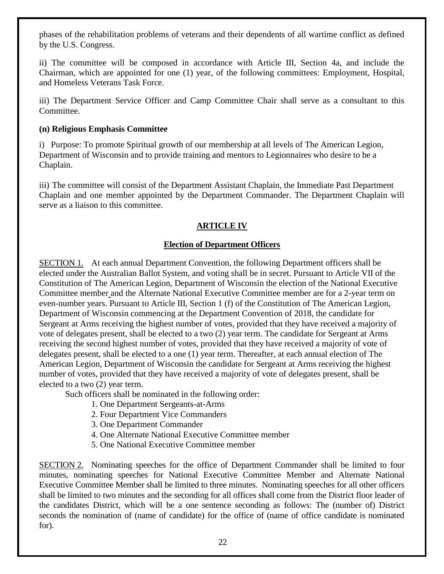phases of the rehabilitation problems of veterans and their dependents of all wartime conflict as defined by the U.S. Congress.

ii) The committee will be composed in accordance with Article III, Section 4a, and include the Chairman, which are appointed for one (1) year, of the following committees: Employment, Hospital, and Homeless Veterans Task Force.

iii) The Department Service Officer and Camp Committee Chair shall serve as a consultant to this Committee.

## **(n) Religious Emphasis Committee**

i) Purpose: To promote Spiritual growth of our membership at all levels of The American Legion, Department of Wisconsin and to provide training and mentors to Legionnaires who desire to be a Chaplain.

iii) The committee will consist of the Department Assistant Chaplain, the Immediate Past Department Chaplain and one member appointed by the Department Commander. The Department Chaplain will serve as a liaison to this committee.

# **ARTICLE IV**

# **Election of Department Officers**

SECTION 1. At each annual Department Convention, the following Department officers shall be elected under the Australian Ballot System, and voting shall be in secret. Pursuant to Article VII of the Constitution of The American Legion, Department of Wisconsin the election of the National Executive Committee member and the Alternate National Executive Committee member are for a 2-year term on even-number years. Pursuant to Article III, Section 1 (f) of the Constitution of The American Legion, Department of Wisconsin commencing at the Department Convention of 2018, the candidate for Sergeant at Arms receiving the highest number of votes, provided that they have received a majority of vote of delegates present, shall be elected to a two (2) year term. The candidate for Sergeant at Arms receiving the second highest number of votes, provided that they have received a majority of vote of delegates present, shall be elected to a one (1) year term. Thereafter, at each annual election of The American Legion, Department of Wisconsin the candidate for Sergeant at Arms receiving the highest number of votes, provided that they have received a majority of vote of delegates present, shall be elected to a two (2) year term.

Such officers shall be nominated in the following order:

- 1. One Department Sergeants-at-Arms
- 2. Four Department Vice Commanders
- 3. One Department Commander
- 4. One Alternate National Executive Committee member
- 5. One National Executive Committee member

SECTION 2. Nominating speeches for the office of Department Commander shall be limited to four minutes, nominating speeches for National Executive Committee Member and Alternate National Executive Committee Member shall be limited to three minutes. Nominating speeches for all other officers shall be limited to two minutes and the seconding for all offices shall come from the District floor leader of the candidates District, which will be a one sentence seconding as follows: The (number of) District seconds the nomination of (name of candidate) for the office of (name of office candidate is nominated for).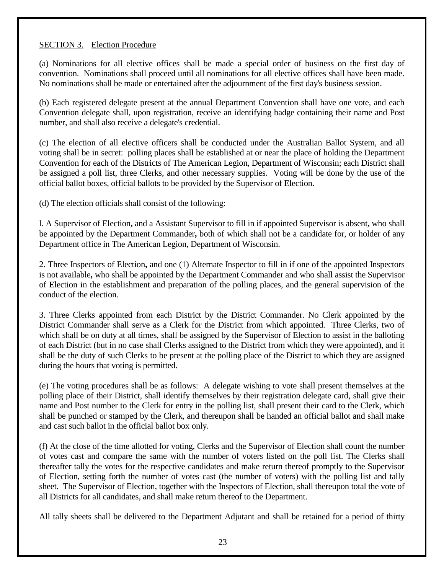# SECTION 3. Election Procedure

(a) Nominations for all elective offices shall be made a special order of business on the first day of convention. Nominations shall proceed until all nominations for all elective offices shall have been made. No nominations shall be made or entertained after the adjournment of the first day's business session.

(b) Each registered delegate present at the annual Department Convention shall have one vote, and each Convention delegate shall, upon registration, receive an identifying badge containing their name and Post number, and shall also receive a delegate's credential.

(c) The election of all elective officers shall be conducted under the Australian Ballot System, and all voting shall be in secret: polling places shall be established at or near the place of holding the Department Convention for each of the Districts of The American Legion, Department of Wisconsin; each District shall be assigned a poll list, three Clerks, and other necessary supplies. Voting will be done by the use of the official ballot boxes, official ballots to be provided by the Supervisor of Election.

(d) The election officials shall consist of the following:

l. A Supervisor of Election**,** and a Assistant Supervisor to fill in if appointed Supervisor is absent**,** who shall be appointed by the Department Commander**,** both of which shall not be a candidate for, or holder of any Department office in The American Legion, Department of Wisconsin.

2. Three Inspectors of Election**,** and one (1) Alternate Inspector to fill in if one of the appointed Inspectors is not available**,** who shall be appointed by the Department Commander and who shall assist the Supervisor of Election in the establishment and preparation of the polling places, and the general supervision of the conduct of the election.

3. Three Clerks appointed from each District by the District Commander. No Clerk appointed by the District Commander shall serve as a Clerk for the District from which appointed. Three Clerks, two of which shall be on duty at all times, shall be assigned by the Supervisor of Election to assist in the balloting of each District (but in no case shall Clerks assigned to the District from which they were appointed), and it shall be the duty of such Clerks to be present at the polling place of the District to which they are assigned during the hours that voting is permitted.

(e) The voting procedures shall be as follows: A delegate wishing to vote shall present themselves at the polling place of their District, shall identify themselves by their registration delegate card, shall give their name and Post number to the Clerk for entry in the polling list, shall present their card to the Clerk, which shall be punched or stamped by the Clerk, and thereupon shall be handed an official ballot and shall make and cast such ballot in the official ballot box only.

(f) At the close of the time allotted for voting, Clerks and the Supervisor of Election shall count the number of votes cast and compare the same with the number of voters listed on the poll list. The Clerks shall thereafter tally the votes for the respective candidates and make return thereof promptly to the Supervisor of Election, setting forth the number of votes cast (the number of voters) with the polling list and tally sheet. The Supervisor of Election, together with the Inspectors of Election, shall thereupon total the vote of all Districts for all candidates, and shall make return thereof to the Department.

All tally sheets shall be delivered to the Department Adjutant and shall be retained for a period of thirty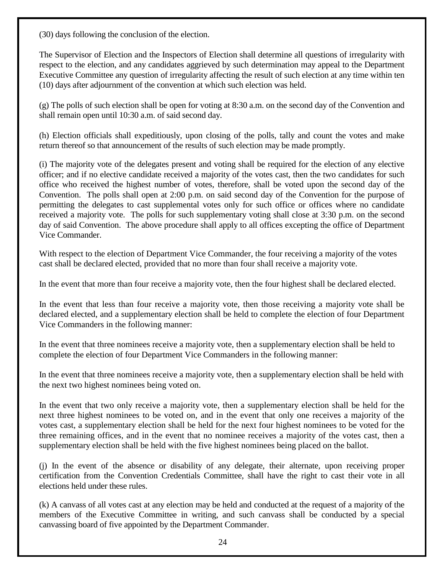(30) days following the conclusion of the election.

The Supervisor of Election and the Inspectors of Election shall determine all questions of irregularity with respect to the election, and any candidates aggrieved by such determination may appeal to the Department Executive Committee any question of irregularity affecting the result of such election at any time within ten (10) days after adjournment of the convention at which such election was held.

(g) The polls of such election shall be open for voting at 8:30 a.m. on the second day of the Convention and shall remain open until 10:30 a.m. of said second day.

(h) Election officials shall expeditiously, upon closing of the polls, tally and count the votes and make return thereof so that announcement of the results of such election may be made promptly.

(i) The majority vote of the delegates present and voting shall be required for the election of any elective officer; and if no elective candidate received a majority of the votes cast, then the two candidates for such office who received the highest number of votes, therefore, shall be voted upon the second day of the Convention. The polls shall open at 2:00 p.m. on said second day of the Convention for the purpose of permitting the delegates to cast supplemental votes only for such office or offices where no candidate received a majority vote. The polls for such supplementary voting shall close at 3:30 p.m. on the second day of said Convention. The above procedure shall apply to all offices excepting the office of Department Vice Commander.

With respect to the election of Department Vice Commander, the four receiving a majority of the votes cast shall be declared elected, provided that no more than four shall receive a majority vote.

In the event that more than four receive a majority vote, then the four highest shall be declared elected.

In the event that less than four receive a majority vote, then those receiving a majority vote shall be declared elected, and a supplementary election shall be held to complete the election of four Department Vice Commanders in the following manner:

In the event that three nominees receive a majority vote, then a supplementary election shall be held to complete the election of four Department Vice Commanders in the following manner:

In the event that three nominees receive a majority vote, then a supplementary election shall be held with the next two highest nominees being voted on.

In the event that two only receive a majority vote, then a supplementary election shall be held for the next three highest nominees to be voted on, and in the event that only one receives a majority of the votes cast, a supplementary election shall be held for the next four highest nominees to be voted for the three remaining offices, and in the event that no nominee receives a majority of the votes cast, then a supplementary election shall be held with the five highest nominees being placed on the ballot.

(j) In the event of the absence or disability of any delegate, their alternate, upon receiving proper certification from the Convention Credentials Committee, shall have the right to cast their vote in all elections held under these rules.

(k) A canvass of all votes cast at any election may be held and conducted at the request of a majority of the members of the Executive Committee in writing, and such canvass shall be conducted by a special canvassing board of five appointed by the Department Commander.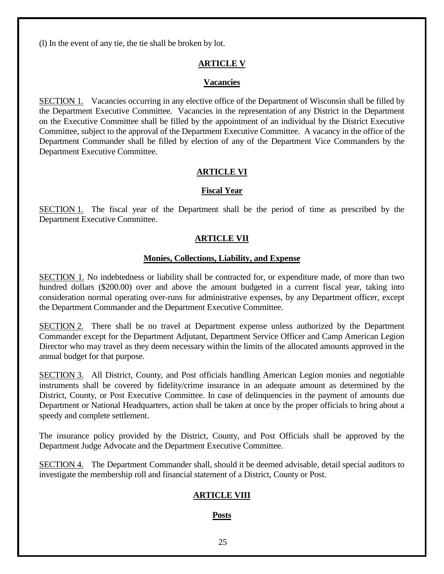(l) In the event of any tie, the tie shall be broken by lot.

# **ARTICLE V**

#### **Vacancies**

SECTION 1. Vacancies occurring in any elective office of the Department of Wisconsin shall be filled by the Department Executive Committee. Vacancies in the representation of any District in the Department on the Executive Committee shall be filled by the appointment of an individual by the District Executive Committee, subject to the approval of the Department Executive Committee. A vacancy in the office of the Department Commander shall be filled by election of any of the Department Vice Commanders by the Department Executive Committee.

# **ARTICLE VI**

#### **Fiscal Year**

SECTION 1. The fiscal year of the Department shall be the period of time as prescribed by the Department Executive Committee.

## **ARTICLE VII**

## **Monies, Collections, Liability, and Expense**

SECTION 1. No indebtedness or liability shall be contracted for, or expenditure made, of more than two hundred dollars (\$200.00) over and above the amount budgeted in a current fiscal year, taking into consideration normal operating over-runs for administrative expenses, by any Department officer, except the Department Commander and the Department Executive Committee.

SECTION 2. There shall be no travel at Department expense unless authorized by the Department Commander except for the Department Adjutant, Department Service Officer and Camp American Legion Director who may travel as they deem necessary within the limits of the allocated amounts approved in the annual budget for that purpose.

SECTION 3. All District, County, and Post officials handling American Legion monies and negotiable instruments shall be covered by fidelity/crime insurance in an adequate amount as determined by the District, County, or Post Executive Committee. In case of delinquencies in the payment of amounts due Department or National Headquarters, action shall be taken at once by the proper officials to bring about a speedy and complete settlement.

The insurance policy provided by the District, County, and Post Officials shall be approved by the Department Judge Advocate and the Department Executive Committee.

SECTION 4. The Department Commander shall, should it be deemed advisable, detail special auditors to investigate the membership roll and financial statement of a District, County or Post.

# **ARTICLE VIII**

# **Posts**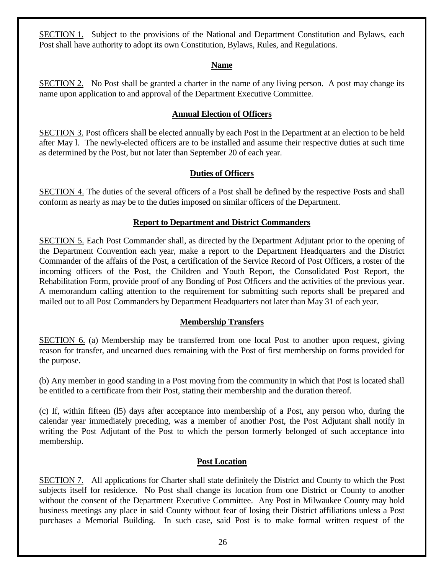SECTION 1. Subject to the provisions of the National and Department Constitution and Bylaws, each Post shall have authority to adopt its own Constitution, Bylaws, Rules, and Regulations.

## **Name**

SECTION 2. No Post shall be granted a charter in the name of any living person. A post may change its name upon application to and approval of the Department Executive Committee.

## **Annual Election of Officers**

SECTION 3. Post officers shall be elected annually by each Post in the Department at an election to be held after May l. The newly-elected officers are to be installed and assume their respective duties at such time as determined by the Post, but not later than September 20 of each year.

# **Duties of Officers**

SECTION 4. The duties of the several officers of a Post shall be defined by the respective Posts and shall conform as nearly as may be to the duties imposed on similar officers of the Department.

# **Report to Department and District Commanders**

SECTION 5. Each Post Commander shall, as directed by the Department Adjutant prior to the opening of the Department Convention each year, make a report to the Department Headquarters and the District Commander of the affairs of the Post, a certification of the Service Record of Post Officers, a roster of the incoming officers of the Post, the Children and Youth Report, the Consolidated Post Report, the Rehabilitation Form, provide proof of any Bonding of Post Officers and the activities of the previous year. A memorandum calling attention to the requirement for submitting such reports shall be prepared and mailed out to all Post Commanders by Department Headquarters not later than May 31 of each year.

# **Membership Transfers**

SECTION 6. (a) Membership may be transferred from one local Post to another upon request, giving reason for transfer, and unearned dues remaining with the Post of first membership on forms provided for the purpose.

(b) Any member in good standing in a Post moving from the community in which that Post is located shall be entitled to a certificate from their Post, stating their membership and the duration thereof.

(c) If, within fifteen (l5) days after acceptance into membership of a Post, any person who, during the calendar year immediately preceding, was a member of another Post, the Post Adjutant shall notify in writing the Post Adjutant of the Post to which the person formerly belonged of such acceptance into membership.

# **Post Location**

SECTION 7. All applications for Charter shall state definitely the District and County to which the Post subjects itself for residence. No Post shall change its location from one District or County to another without the consent of the Department Executive Committee. Any Post in Milwaukee County may hold business meetings any place in said County without fear of losing their District affiliations unless a Post purchases a Memorial Building. In such case, said Post is to make formal written request of the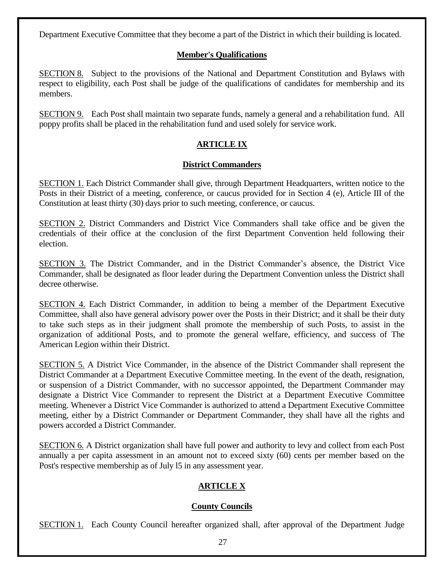Department Executive Committee that they become a part of the District in which their building is located.

# **Member's Qualifications**

SECTION 8. Subject to the provisions of the National and Department Constitution and Bylaws with respect to eligibility, each Post shall be judge of the qualifications of candidates for membership and its members.

SECTION 9. Each Post shall maintain two separate funds, namely a general and a rehabilitation fund. All poppy profits shall be placed in the rehabilitation fund and used solely for service work.

# **ARTICLE IX**

## **District Commanders**

SECTION 1. Each District Commander shall give, through Department Headquarters, written notice to the Posts in their District of a meeting, conference, or caucus provided for in Section 4 (e), Article III of the Constitution at least thirty (30) days prior to such meeting, conference, or caucus.

SECTION 2. District Commanders and District Vice Commanders shall take office and be given the credentials of their office at the conclusion of the first Department Convention held following their election.

SECTION 3. The District Commander, and in the District Commander's absence, the District Vice Commander, shall be designated as floor leader during the Department Convention unless the District shall decree otherwise.

SECTION 4. Each District Commander, in addition to being a member of the Department Executive Committee, shall also have general advisory power over the Posts in their District; and it shall be their duty to take such steps as in their judgment shall promote the membership of such Posts, to assist in the organization of additional Posts, and to promote the general welfare, efficiency, and success of The American Legion within their District.

SECTION 5. A District Vice Commander, in the absence of the District Commander shall represent the District Commander at a Department Executive Committee meeting. In the event of the death, resignation, or suspension of a District Commander, with no successor appointed, the Department Commander may designate a District Vice Commander to represent the District at a Department Executive Committee meeting. Whenever a District Vice Commander is authorized to attend a Department Executive Committee meeting, either by a District Commander or Department Commander, they shall have all the rights and powers accorded a District Commander.

SECTION 6. A District organization shall have full power and authority to levy and collect from each Post annually a per capita assessment in an amount not to exceed sixty (60) cents per member based on the Post's respective membership as of July l5 in any assessment year.

# **ARTICLE X**

# **County Councils**

SECTION 1. Each County Council hereafter organized shall, after approval of the Department Judge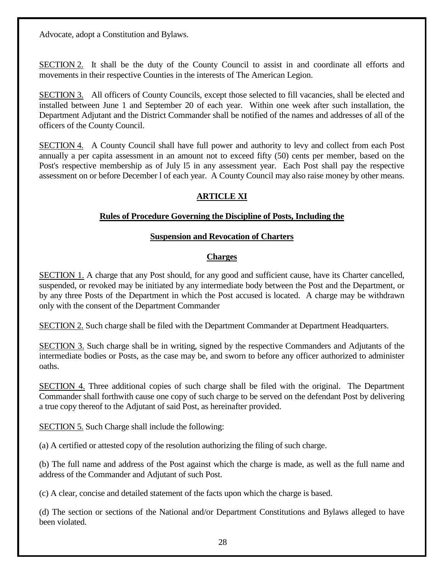Advocate, adopt a Constitution and Bylaws.

SECTION 2. It shall be the duty of the County Council to assist in and coordinate all efforts and movements in their respective Counties in the interests of The American Legion.

SECTION 3. All officers of County Councils, except those selected to fill vacancies, shall be elected and installed between June 1 and September 20 of each year. Within one week after such installation, the Department Adjutant and the District Commander shall be notified of the names and addresses of all of the officers of the County Council.

SECTION 4. A County Council shall have full power and authority to levy and collect from each Post annually a per capita assessment in an amount not to exceed fifty (50) cents per member, based on the Post's respective membership as of July l5 in any assessment year. Each Post shall pay the respective assessment on or before December l of each year. A County Council may also raise money by other means.

# **ARTICLE XI**

# **Rules of Procedure Governing the Discipline of Posts, Including the**

# **Suspension and Revocation of Charters**

# **Charges**

SECTION 1. A charge that any Post should, for any good and sufficient cause, have its Charter cancelled, suspended, or revoked may be initiated by any intermediate body between the Post and the Department, or by any three Posts of the Department in which the Post accused is located. A charge may be withdrawn only with the consent of the Department Commander

**SECTION 2.** Such charge shall be filed with the Department Commander at Department Headquarters.

SECTION 3. Such charge shall be in writing, signed by the respective Commanders and Adjutants of the intermediate bodies or Posts, as the case may be, and sworn to before any officer authorized to administer oaths.

SECTION 4. Three additional copies of such charge shall be filed with the original. The Department Commander shall forthwith cause one copy of such charge to be served on the defendant Post by delivering a true copy thereof to the Adjutant of said Post, as hereinafter provided.

SECTION 5. Such Charge shall include the following:

(a) A certified or attested copy of the resolution authorizing the filing of such charge.

(b) The full name and address of the Post against which the charge is made, as well as the full name and address of the Commander and Adjutant of such Post.

(c) A clear, concise and detailed statement of the facts upon which the charge is based.

(d) The section or sections of the National and/or Department Constitutions and Bylaws alleged to have been violated.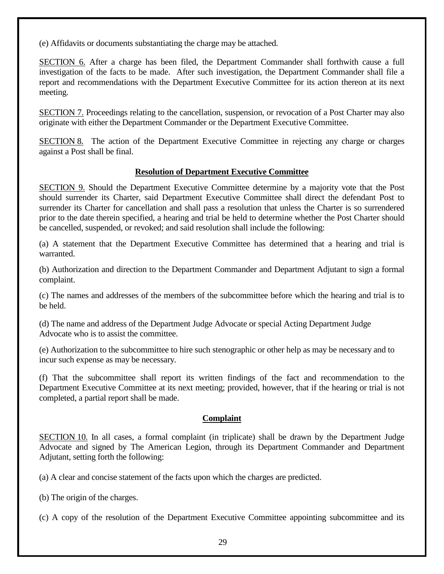(e) Affidavits or documents substantiating the charge may be attached.

SECTION 6. After a charge has been filed, the Department Commander shall forthwith cause a full investigation of the facts to be made. After such investigation, the Department Commander shall file a report and recommendations with the Department Executive Committee for its action thereon at its next meeting.

SECTION 7. Proceedings relating to the cancellation, suspension, or revocation of a Post Charter may also originate with either the Department Commander or the Department Executive Committee.

SECTION 8. The action of the Department Executive Committee in rejecting any charge or charges against a Post shall be final.

## **Resolution of Department Executive Committee**

SECTION 9. Should the Department Executive Committee determine by a majority vote that the Post should surrender its Charter, said Department Executive Committee shall direct the defendant Post to surrender its Charter for cancellation and shall pass a resolution that unless the Charter is so surrendered prior to the date therein specified, a hearing and trial be held to determine whether the Post Charter should be cancelled, suspended, or revoked; and said resolution shall include the following:

(a) A statement that the Department Executive Committee has determined that a hearing and trial is warranted.

(b) Authorization and direction to the Department Commander and Department Adjutant to sign a formal complaint.

(c) The names and addresses of the members of the subcommittee before which the hearing and trial is to be held.

(d) The name and address of the Department Judge Advocate or special Acting Department Judge Advocate who is to assist the committee.

(e) Authorization to the subcommittee to hire such stenographic or other help as may be necessary and to incur such expense as may be necessary.

(f) That the subcommittee shall report its written findings of the fact and recommendation to the Department Executive Committee at its next meeting; provided, however, that if the hearing or trial is not completed, a partial report shall be made.

#### **Complaint**

SECTION 10. In all cases, a formal complaint (in triplicate) shall be drawn by the Department Judge Advocate and signed by The American Legion, through its Department Commander and Department Adjutant, setting forth the following:

(a) A clear and concise statement of the facts upon which the charges are predicted.

(b) The origin of the charges.

(c) A copy of the resolution of the Department Executive Committee appointing subcommittee and its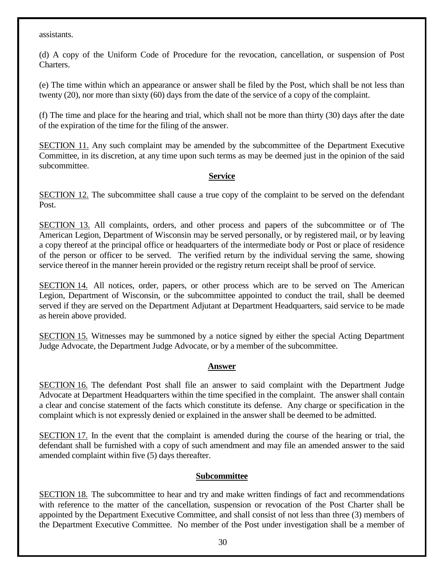assistants.

(d) A copy of the Uniform Code of Procedure for the revocation, cancellation, or suspension of Post Charters.

(e) The time within which an appearance or answer shall be filed by the Post, which shall be not less than twenty (20), nor more than sixty (60) days from the date of the service of a copy of the complaint.

(f) The time and place for the hearing and trial, which shall not be more than thirty (30) days after the date of the expiration of the time for the filing of the answer.

SECTION 11. Any such complaint may be amended by the subcommittee of the Department Executive Committee, in its discretion, at any time upon such terms as may be deemed just in the opinion of the said subcommittee.

## **Service**

SECTION 12. The subcommittee shall cause a true copy of the complaint to be served on the defendant Post.

SECTION 13. All complaints, orders, and other process and papers of the subcommittee or of The American Legion, Department of Wisconsin may be served personally, or by registered mail, or by leaving a copy thereof at the principal office or headquarters of the intermediate body or Post or place of residence of the person or officer to be served. The verified return by the individual serving the same, showing service thereof in the manner herein provided or the registry return receipt shall be proof of service.

SECTION 14. All notices, order, papers, or other process which are to be served on The American Legion, Department of Wisconsin, or the subcommittee appointed to conduct the trail, shall be deemed served if they are served on the Department Adjutant at Department Headquarters, said service to be made as herein above provided.

SECTION 15. Witnesses may be summoned by a notice signed by either the special Acting Department Judge Advocate, the Department Judge Advocate, or by a member of the subcommittee.

# **Answer**

SECTION 16. The defendant Post shall file an answer to said complaint with the Department Judge Advocate at Department Headquarters within the time specified in the complaint. The answer shall contain a clear and concise statement of the facts which constitute its defense. Any charge or specification in the complaint which is not expressly denied or explained in the answer shall be deemed to be admitted.

SECTION 17. In the event that the complaint is amended during the course of the hearing or trial, the defendant shall be furnished with a copy of such amendment and may file an amended answer to the said amended complaint within five (5) days thereafter.

# **Subcommittee**

SECTION 18. The subcommittee to hear and try and make written findings of fact and recommendations with reference to the matter of the cancellation, suspension or revocation of the Post Charter shall be appointed by the Department Executive Committee, and shall consist of not less than three (3) members of the Department Executive Committee. No member of the Post under investigation shall be a member of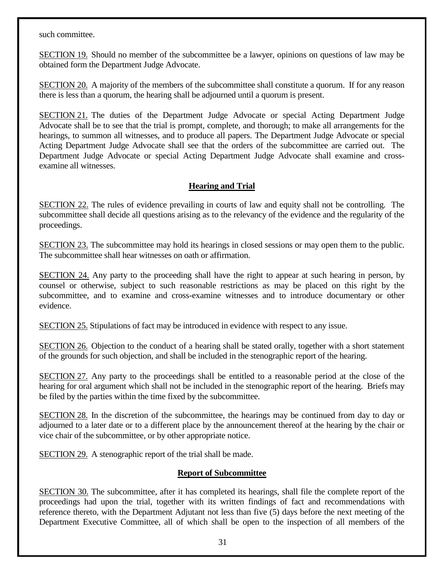such committee.

SECTION 19. Should no member of the subcommittee be a lawyer, opinions on questions of law may be obtained form the Department Judge Advocate.

SECTION 20. A majority of the members of the subcommittee shall constitute a quorum. If for any reason there is less than a quorum, the hearing shall be adjourned until a quorum is present.

SECTION 21. The duties of the Department Judge Advocate or special Acting Department Judge Advocate shall be to see that the trial is prompt, complete, and thorough; to make all arrangements for the hearings, to summon all witnesses, and to produce all papers. The Department Judge Advocate or special Acting Department Judge Advocate shall see that the orders of the subcommittee are carried out. The Department Judge Advocate or special Acting Department Judge Advocate shall examine and crossexamine all witnesses.

# **Hearing and Trial**

SECTION 22. The rules of evidence prevailing in courts of law and equity shall not be controlling. The subcommittee shall decide all questions arising as to the relevancy of the evidence and the regularity of the proceedings.

SECTION 23. The subcommittee may hold its hearings in closed sessions or may open them to the public. The subcommittee shall hear witnesses on oath or affirmation.

SECTION 24. Any party to the proceeding shall have the right to appear at such hearing in person, by counsel or otherwise, subject to such reasonable restrictions as may be placed on this right by the subcommittee, and to examine and cross-examine witnesses and to introduce documentary or other evidence.

SECTION 25. Stipulations of fact may be introduced in evidence with respect to any issue.

SECTION 26. Objection to the conduct of a hearing shall be stated orally, together with a short statement of the grounds for such objection, and shall be included in the stenographic report of the hearing.

SECTION 27. Any party to the proceedings shall be entitled to a reasonable period at the close of the hearing for oral argument which shall not be included in the stenographic report of the hearing. Briefs may be filed by the parties within the time fixed by the subcommittee.

SECTION 28. In the discretion of the subcommittee, the hearings may be continued from day to day or adjourned to a later date or to a different place by the announcement thereof at the hearing by the chair or vice chair of the subcommittee, or by other appropriate notice.

SECTION 29. A stenographic report of the trial shall be made.

# **Report of Subcommittee**

SECTION 30. The subcommittee, after it has completed its hearings, shall file the complete report of the proceedings had upon the trial, together with its written findings of fact and recommendations with reference thereto, with the Department Adjutant not less than five (5) days before the next meeting of the Department Executive Committee, all of which shall be open to the inspection of all members of the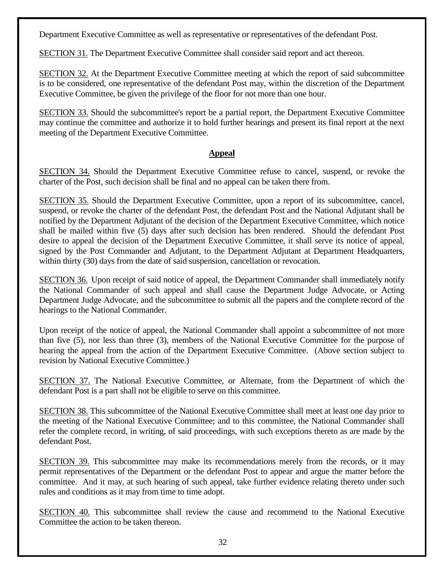Department Executive Committee as well as representative or representatives of the defendant Post.

SECTION 31. The Department Executive Committee shall consider said report and act thereon.

SECTION 32. At the Department Executive Committee meeting at which the report of said subcommittee is to be considered, one representative of the defendant Post may, within the discretion of the Department Executive Committee, be given the privilege of the floor for not more than one hour.

SECTION 33. Should the subcommittee's report be a partial report, the Department Executive Committee may continue the committee and authorize it to hold further hearings and present its final report at the next meeting of the Department Executive Committee.

## **Appeal**

SECTION 34. Should the Department Executive Committee refuse to cancel, suspend, or revoke the charter of the Post, such decision shall be final and no appeal can be taken there from.

SECTION 35. Should the Department Executive Committee, upon a report of its subcommittee, cancel, suspend, or revoke the charter of the defendant Post, the defendant Post and the National Adjutant shall be notified by the Department Adjutant of the decision of the Department Executive Committee, which notice shall be mailed within five (5) days after such decision has been rendered. Should the defendant Post desire to appeal the decision of the Department Executive Committee, it shall serve its notice of appeal, signed by the Post Commander and Adjutant, to the Department Adjutant at Department Headquarters, within thirty (30) days from the date of said suspension, cancellation or revocation.

SECTION 36. Upon receipt of said notice of appeal, the Department Commander shall immediately notify the National Commander of such appeal and shall cause the Department Judge Advocate, or Acting Department Judge Advocate, and the subcommittee to submit all the papers and the complete record of the hearings to the National Commander.

Upon receipt of the notice of appeal, the National Commander shall appoint a subcommittee of not more than five (5), nor less than three (3), members of the National Executive Committee for the purpose of hearing the appeal from the action of the Department Executive Committee. (Above section subject to revision by National Executive Committee.)

SECTION 37. The National Executive Committee, or Alternate, from the Department of which the defendant Post is a part shall not be eligible to serve on this committee.

SECTION 38. This subcommittee of the National Executive Committee shall meet at least one day prior to the meeting of the National Executive Committee; and to this committee, the National Commander shall refer the complete record, in writing, of said proceedings, with such exceptions thereto as are made by the defendant Post.

SECTION 39. This subcommittee may make its recommendations merely from the records, or it may permit representatives of the Department or the defendant Post to appear and argue the matter before the committee. And it may, at such hearing of such appeal, take further evidence relating thereto under such rules and conditions as it may from time to time adopt.

SECTION 40. This subcommittee shall review the cause and recommend to the National Executive Committee the action to be taken thereon.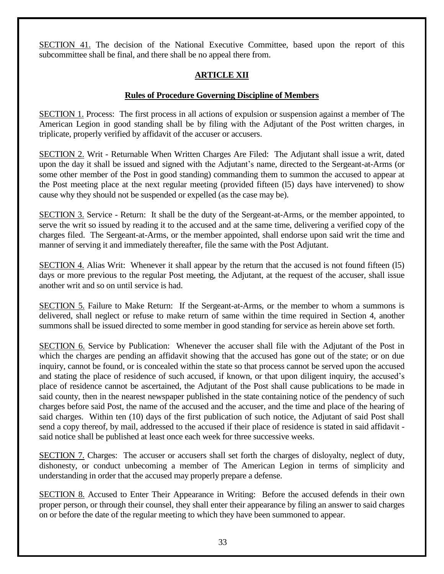SECTION 41. The decision of the National Executive Committee, based upon the report of this subcommittee shall be final, and there shall be no appeal there from.

# **ARTICLE XII**

# **Rules of Procedure Governing Discipline of Members**

SECTION 1. Process: The first process in all actions of expulsion or suspension against a member of The American Legion in good standing shall be by filing with the Adjutant of the Post written charges, in triplicate, properly verified by affidavit of the accuser or accusers.

SECTION 2. Writ - Returnable When Written Charges Are Filed: The Adjutant shall issue a writ, dated upon the day it shall be issued and signed with the Adjutant's name, directed to the Sergeant-at-Arms (or some other member of the Post in good standing) commanding them to summon the accused to appear at the Post meeting place at the next regular meeting (provided fifteen (l5) days have intervened) to show cause why they should not be suspended or expelled (as the case may be).

SECTION 3. Service - Return: It shall be the duty of the Sergeant-at-Arms, or the member appointed, to serve the writ so issued by reading it to the accused and at the same time, delivering a verified copy of the charges filed. The Sergeant-at-Arms, or the member appointed, shall endorse upon said writ the time and manner of serving it and immediately thereafter, file the same with the Post Adjutant.

SECTION 4. Alias Writ: Whenever it shall appear by the return that the accused is not found fifteen (l5) days or more previous to the regular Post meeting, the Adjutant, at the request of the accuser, shall issue another writ and so on until service is had.

SECTION 5. Failure to Make Return: If the Sergeant-at-Arms, or the member to whom a summons is delivered, shall neglect or refuse to make return of same within the time required in Section 4, another summons shall be issued directed to some member in good standing for service as herein above set forth.

SECTION 6. Service by Publication: Whenever the accuser shall file with the Adjutant of the Post in which the charges are pending an affidavit showing that the accused has gone out of the state; or on due inquiry, cannot be found, or is concealed within the state so that process cannot be served upon the accused and stating the place of residence of such accused, if known, or that upon diligent inquiry, the accused's place of residence cannot be ascertained, the Adjutant of the Post shall cause publications to be made in said county, then in the nearest newspaper published in the state containing notice of the pendency of such charges before said Post, the name of the accused and the accuser, and the time and place of the hearing of said charges. Within ten (10) days of the first publication of such notice, the Adjutant of said Post shall send a copy thereof, by mail, addressed to the accused if their place of residence is stated in said affidavit said notice shall be published at least once each week for three successive weeks.

SECTION 7. Charges: The accuser or accusers shall set forth the charges of disloyalty, neglect of duty, dishonesty, or conduct unbecoming a member of The American Legion in terms of simplicity and understanding in order that the accused may properly prepare a defense.

SECTION 8. Accused to Enter Their Appearance in Writing: Before the accused defends in their own proper person, or through their counsel, they shall enter their appearance by filing an answer to said charges on or before the date of the regular meeting to which they have been summoned to appear.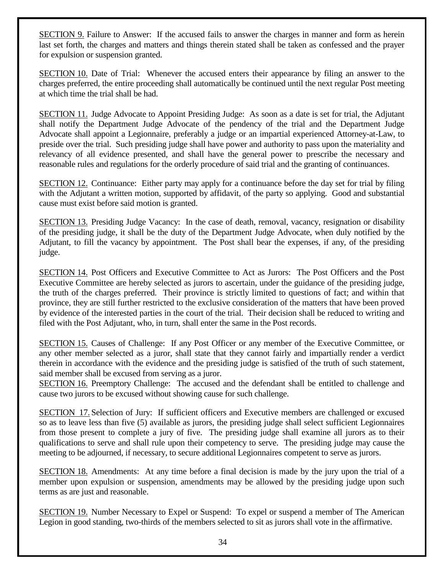SECTION 9. Failure to Answer: If the accused fails to answer the charges in manner and form as herein last set forth, the charges and matters and things therein stated shall be taken as confessed and the prayer for expulsion or suspension granted.

SECTION 10. Date of Trial: Whenever the accused enters their appearance by filing an answer to the charges preferred, the entire proceeding shall automatically be continued until the next regular Post meeting at which time the trial shall be had.

SECTION 11. Judge Advocate to Appoint Presiding Judge: As soon as a date is set for trial, the Adjutant shall notify the Department Judge Advocate of the pendency of the trial and the Department Judge Advocate shall appoint a Legionnaire, preferably a judge or an impartial experienced Attorney-at-Law, to preside over the trial. Such presiding judge shall have power and authority to pass upon the materiality and relevancy of all evidence presented, and shall have the general power to prescribe the necessary and reasonable rules and regulations for the orderly procedure of said trial and the granting of continuances.

SECTION 12. Continuance: Either party may apply for a continuance before the day set for trial by filing with the Adjutant a written motion, supported by affidavit, of the party so applying. Good and substantial cause must exist before said motion is granted.

SECTION 13. Presiding Judge Vacancy: In the case of death, removal, vacancy, resignation or disability of the presiding judge, it shall be the duty of the Department Judge Advocate, when duly notified by the Adjutant, to fill the vacancy by appointment. The Post shall bear the expenses, if any, of the presiding judge.

SECTION 14. Post Officers and Executive Committee to Act as Jurors: The Post Officers and the Post Executive Committee are hereby selected as jurors to ascertain, under the guidance of the presiding judge, the truth of the charges preferred. Their province is strictly limited to questions of fact; and within that province, they are still further restricted to the exclusive consideration of the matters that have been proved by evidence of the interested parties in the court of the trial. Their decision shall be reduced to writing and filed with the Post Adjutant, who, in turn, shall enter the same in the Post records.

SECTION 15. Causes of Challenge: If any Post Officer or any member of the Executive Committee, or any other member selected as a juror, shall state that they cannot fairly and impartially render a verdict therein in accordance with the evidence and the presiding judge is satisfied of the truth of such statement, said member shall be excused from serving as a juror.

SECTION 16. Preemptory Challenge: The accused and the defendant shall be entitled to challenge and cause two jurors to be excused without showing cause for such challenge.

SECTION 17. Selection of Jury: If sufficient officers and Executive members are challenged or excused so as to leave less than five (5) available as jurors, the presiding judge shall select sufficient Legionnaires from those present to complete a jury of five. The presiding judge shall examine all jurors as to their qualifications to serve and shall rule upon their competency to serve. The presiding judge may cause the meeting to be adjourned, if necessary, to secure additional Legionnaires competent to serve as jurors.

SECTION 18. Amendments: At any time before a final decision is made by the jury upon the trial of a member upon expulsion or suspension, amendments may be allowed by the presiding judge upon such terms as are just and reasonable.

SECTION 19. Number Necessary to Expel or Suspend: To expel or suspend a member of The American Legion in good standing, two-thirds of the members selected to sit as jurors shall vote in the affirmative.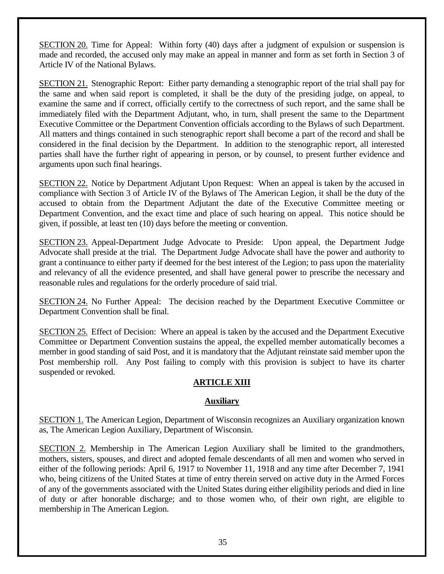SECTION 20. Time for Appeal: Within forty (40) days after a judgment of expulsion or suspension is made and recorded, the accused only may make an appeal in manner and form as set forth in Section 3 of Article IV of the National Bylaws.

SECTION 21. Stenographic Report: Either party demanding a stenographic report of the trial shall pay for the same and when said report is completed, it shall be the duty of the presiding judge, on appeal, to examine the same and if correct, officially certify to the correctness of such report, and the same shall be immediately filed with the Department Adjutant, who, in turn, shall present the same to the Department Executive Committee or the Department Convention officials according to the Bylaws of such Department. All matters and things contained in such stenographic report shall become a part of the record and shall be considered in the final decision by the Department. In addition to the stenographic report, all interested parties shall have the further right of appearing in person, or by counsel, to present further evidence and arguments upon such final hearings.

SECTION 22. Notice by Department Adjutant Upon Request: When an appeal is taken by the accused in compliance with Section 3 of Article IV of the Bylaws of The American Legion, it shall be the duty of the accused to obtain from the Department Adjutant the date of the Executive Committee meeting or Department Convention, and the exact time and place of such hearing on appeal. This notice should be given, if possible, at least ten (10) days before the meeting or convention.

SECTION 23. Appeal-Department Judge Advocate to Preside: Upon appeal, the Department Judge Advocate shall preside at the trial. The Department Judge Advocate shall have the power and authority to grant a continuance to either party if deemed for the best interest of the Legion; to pass upon the materiality and relevancy of all the evidence presented, and shall have general power to prescribe the necessary and reasonable rules and regulations for the orderly procedure of said trial.

SECTION 24. No Further Appeal: The decision reached by the Department Executive Committee or Department Convention shall be final.

SECTION 25. Effect of Decision: Where an appeal is taken by the accused and the Department Executive Committee or Department Convention sustains the appeal, the expelled member automatically becomes a member in good standing of said Post, and it is mandatory that the Adjutant reinstate said member upon the Post membership roll. Any Post failing to comply with this provision is subject to have its charter suspended or revoked.

#### **ARTICLE XIII**

#### **Auxiliary**

SECTION 1. The American Legion, Department of Wisconsin recognizes an Auxiliary organization known as, The American Legion Auxiliary, Department of Wisconsin.

SECTION 2. Membership in The American Legion Auxiliary shall be limited to the grandmothers, mothers, sisters, spouses, and direct and adopted female descendants of all men and women who served in either of the following periods: April 6, 1917 to November 11, 1918 and any time after December 7, 1941 who, being citizens of the United States at time of entry therein served on active duty in the Armed Forces of any of the governments associated with the United States during either eligibility periods and died in line of duty or after honorable discharge; and to those women who, of their own right, are eligible to membership in The American Legion.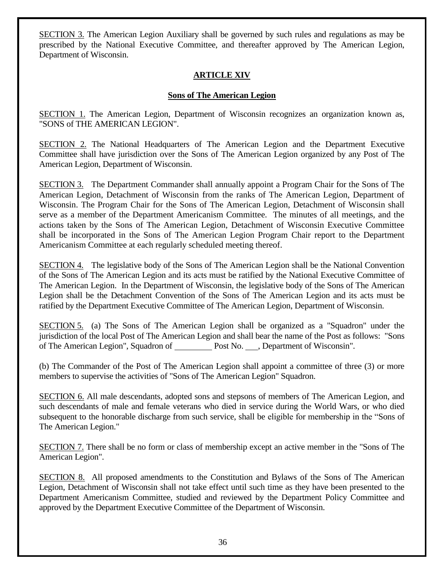SECTION 3. The American Legion Auxiliary shall be governed by such rules and regulations as may be prescribed by the National Executive Committee, and thereafter approved by The American Legion, Department of Wisconsin.

# **ARTICLE XIV**

# **Sons of The American Legion**

SECTION 1. The American Legion, Department of Wisconsin recognizes an organization known as, "SONS of THE AMERICAN LEGION".

SECTION 2. The National Headquarters of The American Legion and the Department Executive Committee shall have jurisdiction over the Sons of The American Legion organized by any Post of The American Legion, Department of Wisconsin.

SECTION 3. The Department Commander shall annually appoint a Program Chair for the Sons of The American Legion, Detachment of Wisconsin from the ranks of The American Legion, Department of Wisconsin. The Program Chair for the Sons of The American Legion, Detachment of Wisconsin shall serve as a member of the Department Americanism Committee. The minutes of all meetings, and the actions taken by the Sons of The American Legion, Detachment of Wisconsin Executive Committee shall be incorporated in the Sons of The American Legion Program Chair report to the Department Americanism Committee at each regularly scheduled meeting thereof.

SECTION 4. The legislative body of the Sons of The American Legion shall be the National Convention of the Sons of The American Legion and its acts must be ratified by the National Executive Committee of The American Legion. In the Department of Wisconsin, the legislative body of the Sons of The American Legion shall be the Detachment Convention of the Sons of The American Legion and its acts must be ratified by the Department Executive Committee of The American Legion, Department of Wisconsin.

SECTION 5. (a) The Sons of The American Legion shall be organized as a "Squadron" under the jurisdiction of the local Post of The American Legion and shall bear the name of the Post as follows: "Sons of The American Legion", Squadron of Post No. Department of Wisconsin".

(b) The Commander of the Post of The American Legion shall appoint a committee of three (3) or more members to supervise the activities of "Sons of The American Legion" Squadron.

SECTION 6. All male descendants, adopted sons and stepsons of members of The American Legion, and such descendants of male and female veterans who died in service during the World Wars, or who died subsequent to the honorable discharge from such service, shall be eligible for membership in the "Sons of The American Legion."

SECTION 7. There shall be no form or class of membership except an active member in the "Sons of The American Legion".

SECTION 8. All proposed amendments to the Constitution and Bylaws of the Sons of The American Legion, Detachment of Wisconsin shall not take effect until such time as they have been presented to the Department Americanism Committee, studied and reviewed by the Department Policy Committee and approved by the Department Executive Committee of the Department of Wisconsin.